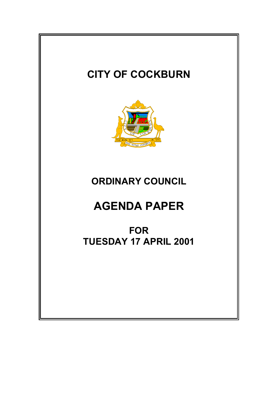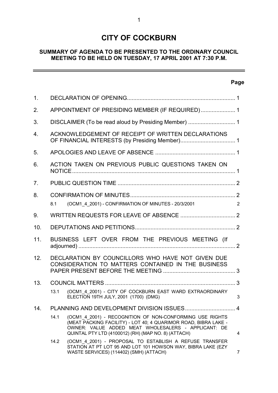# **CITY OF COCKBURN**

### **SUMMARY OF AGENDA TO BE PRESENTED TO THE ORDINARY COUNCIL MEETING TO BE HELD ON TUESDAY, 17 APRIL 2001 AT 7:30 P.M.**

### **Page**

 $\equiv$ 

| $\mathbf 1$ . |                                                                                                         |                                                                                                                                                                                                                                           |                |  |  |  |  |
|---------------|---------------------------------------------------------------------------------------------------------|-------------------------------------------------------------------------------------------------------------------------------------------------------------------------------------------------------------------------------------------|----------------|--|--|--|--|
| 2.            | APPOINTMENT OF PRESIDING MEMBER (IF REQUIRED) 1                                                         |                                                                                                                                                                                                                                           |                |  |  |  |  |
| 3.            |                                                                                                         |                                                                                                                                                                                                                                           |                |  |  |  |  |
| 4.            | ACKNOWLEDGEMENT OF RECEIPT OF WRITTEN DECLARATIONS                                                      |                                                                                                                                                                                                                                           |                |  |  |  |  |
| 5.            |                                                                                                         |                                                                                                                                                                                                                                           |                |  |  |  |  |
| 6.            | ACTION TAKEN ON PREVIOUS PUBLIC QUESTIONS TAKEN ON                                                      |                                                                                                                                                                                                                                           |                |  |  |  |  |
| 7.            |                                                                                                         |                                                                                                                                                                                                                                           |                |  |  |  |  |
| 8.            |                                                                                                         |                                                                                                                                                                                                                                           |                |  |  |  |  |
|               | 8.1                                                                                                     | (OCM1 4 2001) - CONFIRMATION OF MINUTES - 20/3/2001                                                                                                                                                                                       | 2              |  |  |  |  |
| 9.            |                                                                                                         |                                                                                                                                                                                                                                           |                |  |  |  |  |
| 10.           |                                                                                                         |                                                                                                                                                                                                                                           |                |  |  |  |  |
| 11.           |                                                                                                         | BUSINESS LEFT OVER FROM THE PREVIOUS MEETING (If                                                                                                                                                                                          |                |  |  |  |  |
| 12.           | DECLARATION BY COUNCILLORS WHO HAVE NOT GIVEN DUE<br>CONSIDERATION TO MATTERS CONTAINED IN THE BUSINESS |                                                                                                                                                                                                                                           |                |  |  |  |  |
| 13.           |                                                                                                         |                                                                                                                                                                                                                                           |                |  |  |  |  |
|               | 13.1                                                                                                    | (OCM1 4 2001) - CITY OF COCKBURN EAST WARD EXTRAORDINARY<br>ELECTION 19TH JULY, 2001 (1700) (DMG)                                                                                                                                         | 3              |  |  |  |  |
| 14.           |                                                                                                         |                                                                                                                                                                                                                                           |                |  |  |  |  |
|               | 14.1                                                                                                    | (OCM1 4 2001) - RECOGNITION OF NON-CONFORMING USE RIGHTS<br>(MEAT PACKING FACILITY) - LOT 40; 4 QUARIMOR ROAD, BIBRA LAKE -<br>OWNER: VALUE ADDED MEAT WHOLESALERS - APPLICANT: DE<br>QUINTAL PTY LTD (4100012) (RH) (MAP NO. 8) (ATTACH) | $\overline{4}$ |  |  |  |  |
|               | 14.2                                                                                                    | (OCM1 4 2001) - PROPOSAL TO ESTABLISH A REFUSE TRANSFER<br>STATION AT PT LOT 95 AND LOT 101 HOWSON WAY, BIBRA LAKE (EZY<br>WASTE SERVICES) (114402) (SMH) (ATTACH)                                                                        | $\overline{7}$ |  |  |  |  |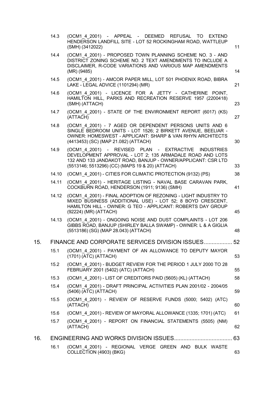| (OCM1 4 2001) - PROPOSED TOWN PLANNING SCHEME NO. 3 - AND<br>DISTRICT ZONING SCHEME NO. 2 TEXT AMENDMENTS TO INCLUDE A                                                                            |
|---------------------------------------------------------------------------------------------------------------------------------------------------------------------------------------------------|
| DISCLAIMER, R-CODE VARIATIONS AND VARIOUS MAP AMENDMENTS<br>14                                                                                                                                    |
| (OCM1 4 2001) - AMCOR PAPER MILL, LOT 501 PHOENIX ROAD, BIBRA<br>21                                                                                                                               |
| (OCM1 4 2001) - LICENCE FOR A JETTY - CATHERINE POINT,<br>HAMILTON HILL, PARKS AND RECREATION RESERVE 1957 (2200418)<br>23                                                                        |
| (OCM1_4_2001) - STATE OF THE ENVIRONMENT REPORT (6017) (KS)<br>27                                                                                                                                 |
| (OCM1 4 2001) - 7 AGED OR DEPENDENT PERSONS UNITS AND 6<br>SINGLE BEDROOM UNITS - LOT 1526; 2 BIRKETT AVENUE, BEELIAR -<br>OWNER: HOMESWEST - APPLICANT: SHARP & VAN RHYN ARCHITECTS<br>30        |
| (OCM1 4 2001) - REVISED PLAN - EXTRACTIVE INDUSTRIES<br>DEVELOPMENT APPROVAL - LOT 2; 135 ARMADALE ROAD AND LOTS<br>132 AND 133 JANDAKOT ROAD, BANJUP - OWNER/APPLICANT: CSR LTD<br>33            |
| (OCM1 4 2001) - CITIES FOR CLIMATIC PROTECTION (9132) (PS)<br>38                                                                                                                                  |
| (OCM1 4 2001) - HERITAGE LISTING - NAVAL BASE CARAVAN PARK,<br>41                                                                                                                                 |
| (OCM1 4 2001) - FINAL ADOPTION OF REZONING - LIGHT INDUSTRY TO<br>MIXED BUSINESS (ADDITIONAL USE) - LOT 52; 8 BOYD CRESCENT,<br>HAMILTON HILL - OWNER: G TEO - APPLICANT: ROBERTS DAY GROUP<br>45 |
| (OCM1 4 2001) - ONGOING NOISE AND DUST COMPLAINTS - LOT 206<br>GIBBS ROAD, BANJUP (SHIRLEY BALLA SWAMP) - OWNER: L & A GIGLIA<br>48                                                               |
| FINANCE AND CORPORATE SERVICES DIVISION ISSUES 52                                                                                                                                                 |
| (OCM1 4 2001) - PAYMENT OF AN ALLOWANCE TO DEPUTY MAYOR<br>53                                                                                                                                     |
| (OCM1 4 2001) - BUDGET REVIEW FOR THE PERIOD 1 JULY 2000 TO 28<br>55                                                                                                                              |
| 58<br>(OCM1 4 2001) - LIST OF CREDITORS PAID (5605) (KL) (ATTACH)                                                                                                                                 |
| (OCM1 4 2001) - DRAFT PRINCIPAL ACTIVITIES PLAN 2001/02 - 2004/05<br>59                                                                                                                           |
| (OCM1 4 2001) - REVIEW OF RESERVE FUNDS (5000; 5402) (ATC)<br>60                                                                                                                                  |
| 61<br>(OCM1 4 2001) - REVIEW OF MAYORAL ALLOWANCE (1335; 1701) (ATC)                                                                                                                              |
| (OCM1 4 2001) - REPORT ON FINANCIAL STATEMENTS (5505) (NM)<br>62                                                                                                                                  |
| 63                                                                                                                                                                                                |
| (OCM1 4 2001) - REGIONAL VERGE GREEN AND BULK WASTE<br>63                                                                                                                                         |
|                                                                                                                                                                                                   |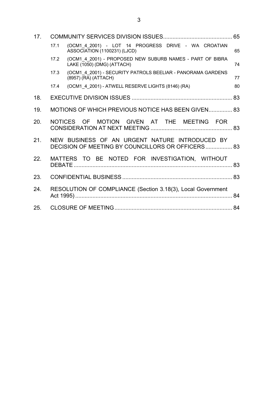| 17. |                                                                                                     |    |  |  |  |  |  |
|-----|-----------------------------------------------------------------------------------------------------|----|--|--|--|--|--|
|     | (OCM1 4 2001) - LOT 14 PROGRESS DRIVE - WA CROATIAN<br>17.1<br>ASSOCIATION (1100231) (LJCD)         | 65 |  |  |  |  |  |
|     | (OCM1 4 2001) - PROPOSED NEW SUBURB NAMES - PART OF BIBRA<br>17.2<br>LAKE (1050) (DMG) (ATTACH)     | 74 |  |  |  |  |  |
|     | (OCM1_4_2001) - SECURITY PATROLS BEELIAR - PANORAMA GARDENS<br>17.3<br>(8957) (RA) (ATTACH)         | 77 |  |  |  |  |  |
|     | (OCM1 4 2001) - ATWELL RESERVE LIGHTS (8146) (RA)<br>17.4                                           | 80 |  |  |  |  |  |
| 18. |                                                                                                     |    |  |  |  |  |  |
| 19. | MOTIONS OF WHICH PREVIOUS NOTICE HAS BEEN GIVEN 83                                                  |    |  |  |  |  |  |
| 20. | NOTICES OF MOTION GIVEN AT THE MEETING FOR                                                          |    |  |  |  |  |  |
| 21. | NEW BUSINESS OF AN URGENT NATURE INTRODUCED BY<br>DECISION OF MEETING BY COUNCILLORS OR OFFICERS 83 |    |  |  |  |  |  |
| 22. | MATTERS TO BE NOTED FOR INVESTIGATION, WITHOUT                                                      |    |  |  |  |  |  |
| 23. |                                                                                                     |    |  |  |  |  |  |
| 24. | RESOLUTION OF COMPLIANCE (Section 3.18(3), Local Government                                         |    |  |  |  |  |  |
| 25. |                                                                                                     |    |  |  |  |  |  |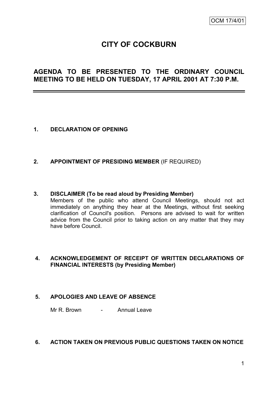# **CITY OF COCKBURN**

# **AGENDA TO BE PRESENTED TO THE ORDINARY COUNCIL MEETING TO BE HELD ON TUESDAY, 17 APRIL 2001 AT 7:30 P.M.**

- **1. DECLARATION OF OPENING**
- **2. APPOINTMENT OF PRESIDING MEMBER** (IF REQUIRED)

### **3. DISCLAIMER (To be read aloud by Presiding Member)**

Members of the public who attend Council Meetings, should not act immediately on anything they hear at the Meetings, without first seeking clarification of Council's position. Persons are advised to wait for written advice from the Council prior to taking action on any matter that they may have before Council.

### **4. ACKNOWLEDGEMENT OF RECEIPT OF WRITTEN DECLARATIONS OF FINANCIAL INTERESTS (by Presiding Member)**

### **5. APOLOGIES AND LEAVE OF ABSENCE**

Mr R. Brown - Annual Leave

### **6. ACTION TAKEN ON PREVIOUS PUBLIC QUESTIONS TAKEN ON NOTICE**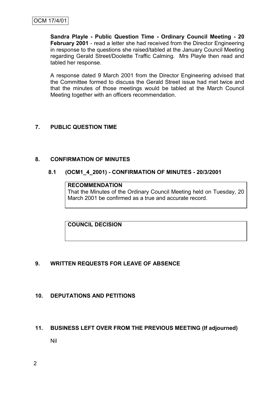**Sandra Playle - Public Question Time - Ordinary Council Meeting - 20 February 2001** - read a letter she had received from the Director Engineering in response to the questions she raised/tabled at the January Council Meeting regarding Gerald Street/Doolette Traffic Calming. Mrs Playle then read and tabled her response.

A response dated 9 March 2001 from the Director Engineering advised that the Committee formed to discuss the Gerald Street issue had met twice and that the minutes of those meetings would be tabled at the March Council Meeting together with an officers recommendation.

## **7. PUBLIC QUESTION TIME**

### **8. CONFIRMATION OF MINUTES**

### **8.1 (OCM1\_4\_2001) - CONFIRMATION OF MINUTES - 20/3/2001**

#### **RECOMMENDATION**

That the Minutes of the Ordinary Council Meeting held on Tuesday, 20 March 2001 be confirmed as a true and accurate record.

**COUNCIL DECISION**

### **9. WRITTEN REQUESTS FOR LEAVE OF ABSENCE**

### **10. DEPUTATIONS AND PETITIONS**

### **11. BUSINESS LEFT OVER FROM THE PREVIOUS MEETING (If adjourned)**

Nil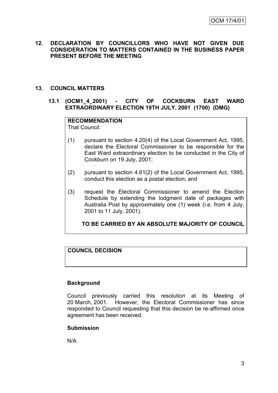### **12. DECLARATION BY COUNCILLORS WHO HAVE NOT GIVEN DUE CONSIDERATION TO MATTERS CONTAINED IN THE BUSINESS PAPER PRESENT BEFORE THE MEETING**

### **13. COUNCIL MATTERS**

### **13.1 (OCM1\_4\_2001) - CITY OF COCKBURN EAST WARD EXTRAORDINARY ELECTION 19TH JULY, 2001 (1700) (DMG)**

## **RECOMMENDATION**

That Council:

- (1) pursuant to section 4.20(4) of the Local Government Act, 1995, declare the Electoral Commissioner to be responsible for the East Ward extraordinary election to be conducted in the City of Cockburn on 19 July, 2001;
- (2) pursuant to section 4.61(2) of the Local Government Act, 1995, conduct this election as a postal election; and
- (3) request the Electoral Commissioner to amend the Election Schedule by extending the lodgment date of packages with Australia Post by approximately one (1) week (i.e. from 4 July, 2001 to 11 July, 2001).

### **TO BE CARRIED BY AN ABSOLUTE MAJORITY OF COUNCIL**

### **COUNCIL DECISION**

### **Background**

Council previously carried this resolution at its Meeting of 20 March, 2001. However, the Electoral Commissioner has since responded to Council requesting that this decision be re-affirmed once agreement has been received.

### **Submission**

N/A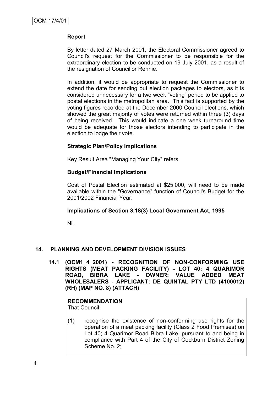### **Report**

By letter dated 27 March 2001, the Electoral Commissioner agreed to Council's request for the Commissioner to be responsible for the extraordinary election to be conducted on 19 July 2001, as a result of the resignation of Councillor Rennie.

In addition, it would be appropriate to request the Commissioner to extend the date for sending out election packages to electors, as it is considered unnecessary for a two week "voting" period to be applied to postal elections in the metropolitan area. This fact is supported by the voting figures recorded at the December 2000 Council elections, which showed the great majority of votes were returned within three (3) days of being received. This would indicate a one week turnaround time would be adequate for those electors intending to participate in the election to lodge their vote.

### **Strategic Plan/Policy Implications**

Key Result Area "Managing Your City" refers.

### **Budget/Financial Implications**

Cost of Postal Election estimated at \$25,000, will need to be made available within the "Governance" function of Council's Budget for the 2001/2002 Financial Year.

### **Implications of Section 3.18(3) Local Government Act, 1995**

Nil.

### **14. PLANNING AND DEVELOPMENT DIVISION ISSUES**

**14.1 (OCM1\_4\_2001) - RECOGNITION OF NON-CONFORMING USE RIGHTS (MEAT PACKING FACILITY) - LOT 40; 4 QUARIMOR ROAD, BIBRA LAKE - OWNER: VALUE ADDED MEAT WHOLESALERS - APPLICANT: DE QUINTAL PTY LTD (4100012) (RH) (MAP NO. 8) (ATTACH)**

# **RECOMMENDATION**

That Council:

(1) recognise the existence of non-conforming use rights for the operation of a meat packing facility (Class 2 Food Premises) on Lot 40; 4 Quarimor Road Bibra Lake, pursuant to and being in compliance with Part 4 of the City of Cockburn District Zoning Scheme No. 2;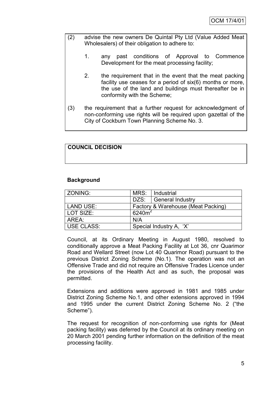- (2) advise the new owners De Quintal Pty Ltd (Value Added Meat Wholesalers) of their obligation to adhere to:
	- 1. any past conditions of Approval to Commence Development for the meat processing facility;
	- 2. the requirement that in the event that the meat packing facility use ceases for a period of six(6) months or more, the use of the land and buildings must thereafter be in conformity with the Scheme;
- (3) the requirement that a further request for acknowledgment of non-conforming use rights will be required upon gazettal of the City of Cockburn Town Planning Scheme No. 3.

### **COUNCIL DECISION**

### **Background**

| ZONING:           | MRS:                               | l Industrial     |  |  |  |
|-------------------|------------------------------------|------------------|--|--|--|
|                   | DZS:                               | General Industry |  |  |  |
| LAND USE:         | Factory & Warehouse (Meat Packing) |                  |  |  |  |
| LOT SIZE:         | $6240m^2$                          |                  |  |  |  |
| AREA:             | N/A                                |                  |  |  |  |
| <b>USE CLASS:</b> | Special Industry A, 'X'            |                  |  |  |  |

Council, at its Ordinary Meeting in August 1980, resolved to conditionally approve a Meat Packing Facility at Lot 36, cnr Quarimor Road and Wellard Street (now Lot 40 Quarimor Road) pursuant to the previous District Zoning Scheme (No.1). The operation was not an Offensive Trade and did not require an Offensive Trades Licence under the provisions of the Health Act and as such, the proposal was permitted.

Extensions and additions were approved in 1981 and 1985 under District Zoning Scheme No.1, and other extensions approved in 1994 and 1995 under the current District Zoning Scheme No. 2 ("the Scheme").

The request for recognition of non-conforming use rights for (Meat packing facility) was deferred by the Council at its ordinary meeting on 20 March 2001 pending further information on the definition of the meat processing facility.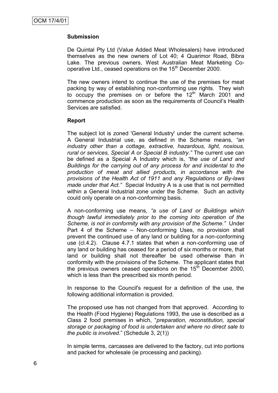### **Submission**

De Quintal Pty Ltd (Value Added Meat Wholesalers) have introduced themselves as the new owners of Lot 40; 4 Quarimor Road, Bibra Lake. The previous owners, West Australian Meat Marketing Cooperative Ltd., ceased operations on the 15<sup>th</sup> December 2000.

The new owners intend to continue the use of the premises for meat packing by way of establishing non-conforming use rights. They wish to occupy the premises on or before the  $12<sup>th</sup>$  March 2001 and commence production as soon as the requirements of Council"s Health Services are satisfied.

### **Report**

The subject lot is zoned 'General Industry' under the current scheme. A General Industrial use, as defined in the Scheme means, *"an industry other than a cottage, extractive, hazardous, light, noxious, rural or services, Special A or Special B industry."* The current use can be defined as a Special A Industry which is, *"the use of Land and Buildings for the carrying out of any process for and incidental to the production of meat and allied products, in accordance with the provisions of the Health Act of 1911 and any Regulations or By-laws made under that Act."* Special Industry A is a use that is not permitted within a General Industrial zone under the Scheme. Such an activity could only operate on a non-conforming basis.

A non-conforming use means, *"a use of Land or Buildings which though lawful immediately prior to the coming into operation of the Scheme, is not in conformity with any provision of the Scheme."* Under Part 4 of the Scheme – Non-conforming Uses, no provision shall prevent the continued use of any land or building for a non-conforming use (cl.4.2). Clause 4.7.1 states that when a non-conforming use of any land or building has ceased for a period of six months or more, that land or building shall not thereafter be used otherwise than in conformity with the provisions of the Scheme. The applicant states that the previous owners ceased operations on the  $15<sup>th</sup>$  December 2000, which is less than the prescribed six month period.

In response to the Council's request for a definition of the use, the following additional information is provided.

The proposed use has not changed from that approved. According to the Health (Food Hygiene) Regulations 1993, the use is described as a Class 2 food premises in which, "*preparation, reconstitution, special storage or packaging of food is undertaken and where no direct sale to the public is involved*." (Schedule 3, 2(1))

In simple terms, carcasses are delivered to the factory, cut into portions and packed for wholesale (ie processing and packing).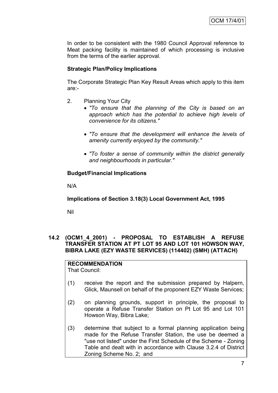In order to be consistent with the 1980 Council Approval reference to Meat packing facility is maintained of which processing is inclusive from the terms of the earlier approval.

### **Strategic Plan/Policy Implications**

The Corporate Strategic Plan Key Result Areas which apply to this item are:-

- 2. Planning Your City
	- *"To ensure that the planning of the City is based on an approach which has the potential to achieve high levels of convenience for its citizens."*
	- *"To ensure that the development will enhance the levels of amenity currently enjoyed by the community."*
	- *"To foster a sense of community within the district generally and neighbourhoods in particular."*

### **Budget/Financial Implications**

N/A

### **Implications of Section 3.18(3) Local Government Act, 1995**

Nil

### **14.2 (OCM1\_4\_2001) - PROPOSAL TO ESTABLISH A REFUSE TRANSFER STATION AT PT LOT 95 AND LOT 101 HOWSON WAY, BIBRA LAKE (EZY WASTE SERVICES) (114402) (SMH) (ATTACH)**

## **RECOMMENDATION**

That Council:

- (1) receive the report and the submission prepared by Halpern, Glick, Maunsell on behalf of the proponent EZY Waste Services;
- (2) on planning grounds, support in principle, the proposal to operate a Refuse Transfer Station on Pt Lot 95 and Lot 101 Howson Way, Bibra Lake;
- (3) determine that subject to a formal planning application being made for the Refuse Transfer Station, the use be deemed a "use not listed" under the First Schedule of the Scheme - Zoning Table and dealt with in accordance with Clause 3.2.4 of District Zoning Scheme No. 2; and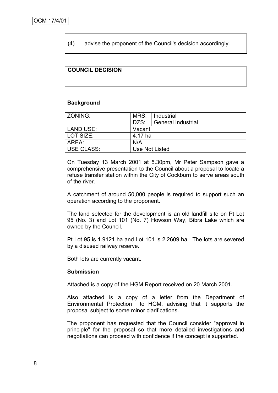(4) advise the proponent of the Council's decision accordingly.

### **COUNCIL DECISION**

#### **Background**

| ZONING:           | MRS:           | Industrial                |  |  |  |
|-------------------|----------------|---------------------------|--|--|--|
|                   | DZS:           | <b>General Industrial</b> |  |  |  |
| LAND USE:         | Vacant         |                           |  |  |  |
| LOT SIZE:         | 4.17 ha        |                           |  |  |  |
| AREA:             | N/A            |                           |  |  |  |
| <b>USE CLASS:</b> | Use Not Listed |                           |  |  |  |

On Tuesday 13 March 2001 at 5.30pm, Mr Peter Sampson gave a comprehensive presentation to the Council about a proposal to locate a refuse transfer station within the City of Cockburn to serve areas south of the river.

A catchment of around 50,000 people is required to support such an operation according to the proponent.

The land selected for the development is an old landfill site on Pt Lot 95 (No. 3) and Lot 101 (No. 7) Howson Way, Bibra Lake which are owned by the Council.

Pt Lot 95 is 1.9121 ha and Lot 101 is 2.2609 ha. The lots are severed by a disused railway reserve.

Both lots are currently vacant.

#### **Submission**

Attached is a copy of the HGM Report received on 20 March 2001.

Also attached is a copy of a letter from the Department of Environmental Protection to HGM, advising that it supports the proposal subject to some minor clarifications.

The proponent has requested that the Council consider "approval in principle" for the proposal so that more detailed investigations and negotiations can proceed with confidence if the concept is supported.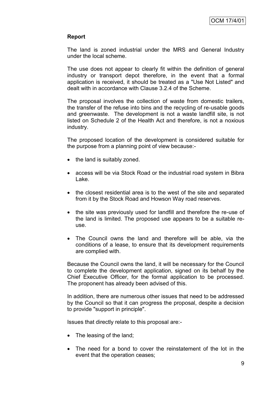### **Report**

The land is zoned industrial under the MRS and General Industry under the local scheme.

The use does not appear to clearly fit within the definition of general industry or transport depot therefore, in the event that a formal application is received, it should be treated as a "Use Not Listed" and dealt with in accordance with Clause 3.2.4 of the Scheme.

The proposal involves the collection of waste from domestic trailers, the transfer of the refuse into bins and the recycling of re-usable goods and greenwaste. The development is not a waste landfill site, is not listed on Schedule 2 of the Health Act and therefore, is not a noxious industry.

The proposed location of the development is considered suitable for the purpose from a planning point of view because:-

- the land is suitably zoned.
- access will be via Stock Road or the industrial road system in Bibra Lake.
- the closest residential area is to the west of the site and separated from it by the Stock Road and Howson Way road reserves.
- the site was previously used for landfill and therefore the re-use of the land is limited. The proposed use appears to be a suitable reuse.
- The Council owns the land and therefore will be able, via the conditions of a lease, to ensure that its development requirements are complied with.

Because the Council owns the land, it will be necessary for the Council to complete the development application, signed on its behalf by the Chief Executive Officer, for the formal application to be processed. The proponent has already been advised of this.

In addition, there are numerous other issues that need to be addressed by the Council so that it can progress the proposal, despite a decision to provide "support in principle".

Issues that directly relate to this proposal are:-

- The leasing of the land;
- The need for a bond to cover the reinstatement of the lot in the event that the operation ceases;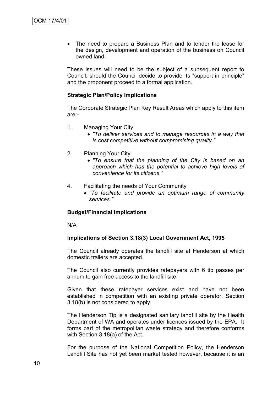The need to prepare a Business Plan and to tender the lease for the design, development and operation of the business on Council owned land.

These issues will need to be the subject of a subsequent report to Council, should the Council decide to provide its "support in principle" and the proponent proceed to a formal application.

#### **Strategic Plan/Policy Implications**

The Corporate Strategic Plan Key Result Areas which apply to this item are:-

- 1. Managing Your City
	- *"To deliver services and to manage resources in a way that is cost competitive without compromising quality."*
- 2. Planning Your City
	- *"To ensure that the planning of the City is based on an approach which has the potential to achieve high levels of convenience for its citizens."*
- 4. Facilitating the needs of Your Community
	- *"To facilitate and provide an optimum range of community services."*

#### **Budget/Financial Implications**

N/A

#### **Implications of Section 3.18(3) Local Government Act, 1995**

The Council already operates the landfill site at Henderson at which domestic trailers are accepted.

The Council also currently provides ratepayers with 6 tip passes per annum to gain free access to the landfill site.

Given that these ratepayer services exist and have not been established in competition with an existing private operator, Section 3.18(b) is not considered to apply.

The Henderson Tip is a designated sanitary landfill site by the Health Department of WA and operates under licences issued by the EPA. It forms part of the metropolitan waste strategy and therefore conforms with Section 3.18(a) of the Act.

For the purpose of the National Competition Policy, the Henderson Landfill Site has not yet been market tested however, because it is an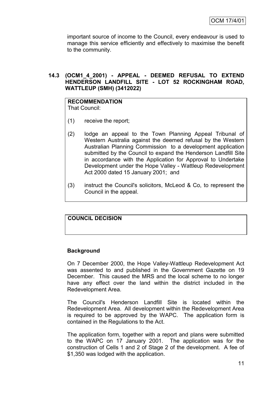important source of income to the Council, every endeavour is used to manage this service efficiently and effectively to maximise the benefit to the community.

### **14.3 (OCM1\_4\_2001) - APPEAL - DEEMED REFUSAL TO EXTEND HENDERSON LANDFILL SITE - LOT 52 ROCKINGHAM ROAD, WATTLEUP (SMH) (3412022)**

#### **RECOMMENDATION** That Council:

- (1) receive the report;
- (2) lodge an appeal to the Town Planning Appeal Tribunal of Western Australia against the deemed refusal by the Western Australian Planning Commission to a development application submitted by the Council to expand the Henderson Landfill Site in accordance with the Application for Approval to Undertake Development under the Hope Valley - Wattleup Redevelopment Act 2000 dated 15 January 2001; and
- (3) instruct the Council's solicitors, McLeod & Co, to represent the Council in the appeal.

### **COUNCIL DECISION**

### **Background**

On 7 December 2000, the Hope Valley-Wattleup Redevelopment Act was assented to and published in the Government Gazette on 19 December. This caused the MRS and the local scheme to no longer have any effect over the land within the district included in the Redevelopment Area.

The Council's Henderson Landfill Site is located within the Redevelopment Area. All development within the Redevelopment Area is required to be approved by the WAPC. The application form is contained in the Regulations to the Act.

The application form, together with a report and plans were submitted to the WAPC on 17 January 2001. The application was for the construction of Cells 1 and 2 of Stage 2 of the development. A fee of \$1,350 was lodged with the application.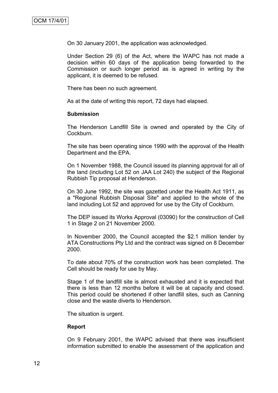On 30 January 2001, the application was acknowledged.

Under Section 29 (6) of the Act, where the WAPC has not made a decision within 60 days of the application being forwarded to the Commission or such longer period as is agreed in writing by the applicant, it is deemed to be refused.

There has been no such agreement.

As at the date of writing this report, 72 days had elapsed.

#### **Submission**

The Henderson Landfill Site is owned and operated by the City of Cockburn.

The site has been operating since 1990 with the approval of the Health Department and the EPA.

On 1 November 1988, the Council issued its planning approval for all of the land (including Lot 52 on JAA Lot 240) the subject of the Regional Rubbish Tip proposal at Henderson.

On 30 June 1992, the site was gazetted under the Health Act 1911, as a "Regional Rubbish Disposal Site" and applied to the whole of the land including Lot 52 and approved for use by the City of Cockburn.

The DEP issued its Works Approval (03090) for the construction of Cell 1 in Stage 2 on 21 November 2000.

In November 2000, the Council accepted the \$2.1 million tender by ATA Constructions Pty Ltd and the contract was signed on 8 December 2000.

To date about 70% of the construction work has been completed. The Cell should be ready for use by May.

Stage 1 of the landfill site is almost exhausted and it is expected that there is less than 12 months before it will be at capacity and closed. This period could be shortened if other landfill sites, such as Canning close and the waste diverts to Henderson.

The situation is urgent.

#### **Report**

On 9 February 2001, the WAPC advised that there was insufficient information submitted to enable the assessment of the application and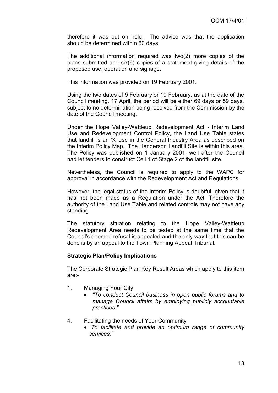therefore it was put on hold. The advice was that the application should be determined within 60 days.

The additional information required was two(2) more copies of the plans submitted and six(6) copies of a statement giving details of the proposed use, operation and signage.

This information was provided on 19 February 2001.

Using the two dates of 9 February or 19 February, as at the date of the Council meeting, 17 April, the period will be either 69 days or 59 days, subject to no determination being received from the Commission by the date of the Council meeting.

Under the Hope Valley-Wattleup Redevelopment Act - Interim Land Use and Redevelopment Control Policy, the Land Use Table states that landfill is an 'X' use in the General Industry Area as described on the Interim Policy Map. The Henderson Landfill Site is within this area. The Policy was published on 1 January 2001, well after the Council had let tenders to construct Cell 1 of Stage 2 of the landfill site.

Nevertheless, the Council is required to apply to the WAPC for approval in accordance with the Redevelopment Act and Regulations.

However, the legal status of the Interim Policy is doubtful, given that it has not been made as a Regulation under the Act. Therefore the authority of the Land Use Table and related controls may not have any standing.

The statutory situation relating to the Hope Valley-Wattleup Redevelopment Area needs to be tested at the same time that the Council's deemed refusal is appealed and the only way that this can be done is by an appeal to the Town Planning Appeal Tribunal.

### **Strategic Plan/Policy Implications**

The Corporate Strategic Plan Key Result Areas which apply to this item are:-

- 1. Managing Your City
	- *"To conduct Council business in open public forums and to manage Council affairs by employing publicly accountable practices."*
- 4. Facilitating the needs of Your Community
	- *"To facilitate and provide an optimum range of community services."*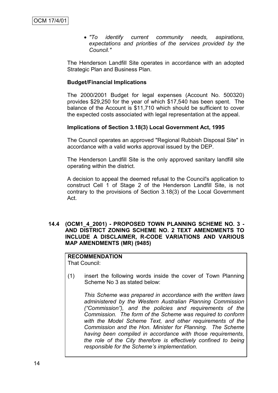*"To identify current community needs, aspirations, expectations and priorities of the services provided by the Council."*

The Henderson Landfill Site operates in accordance with an adopted Strategic Plan and Business Plan.

#### **Budget/Financial Implications**

The 2000/2001 Budget for legal expenses (Account No. 500320) provides \$29,250 for the year of which \$17,540 has been spent. The balance of the Account is \$11,710 which should be sufficient to cover the expected costs associated with legal representation at the appeal.

#### **Implications of Section 3.18(3) Local Government Act, 1995**

The Council operates an approved "Regional Rubbish Disposal Site" in accordance with a valid works approval issued by the DEP.

The Henderson Landfill Site is the only approved sanitary landfill site operating within the district.

A decision to appeal the deemed refusal to the Council's application to construct Cell 1 of Stage 2 of the Henderson Landfill Site, is not contrary to the provisions of Section 3.18(3) of the Local Government Act.

#### **14.4 (OCM1\_4\_2001) - PROPOSED TOWN PLANNING SCHEME NO. 3 - AND DISTRICT ZONING SCHEME NO. 2 TEXT AMENDMENTS TO INCLUDE A DISCLAIMER, R-CODE VARIATIONS AND VARIOUS MAP AMENDMENTS (MR) (9485)**

**RECOMMENDATION** That Council:

(1) insert the following words inside the cover of Town Planning Scheme No 3 as stated below:

*This Scheme was prepared in accordance with the written laws administered by the Western Australian Planning Commission ("Commission"), and the policies and requirements of the Commission. The form of the Scheme was required to conform with the Model Scheme Text, and other requirements of the Commission and the Hon. Minister for Planning. The Scheme having been compiled in accordance with those requirements, the role of the City therefore is effectively confined to being responsible for the Scheme"s implementation.*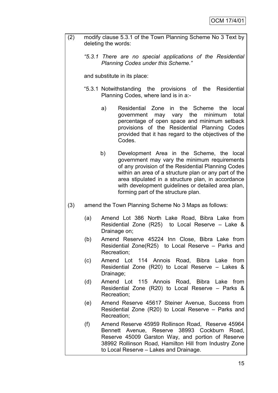| (2) | modify clause 5.3.1 of the Town Planning Scheme No 3 Text by<br>deleting the words:                 |                                                                                                                                                                                                                                                                                                                                                                   |  |  |  |  |  |  |
|-----|-----------------------------------------------------------------------------------------------------|-------------------------------------------------------------------------------------------------------------------------------------------------------------------------------------------------------------------------------------------------------------------------------------------------------------------------------------------------------------------|--|--|--|--|--|--|
|     |                                                                                                     | "5.3.1 There are no special applications of the Residential<br><b>Planning Codes under this Scheme."</b>                                                                                                                                                                                                                                                          |  |  |  |  |  |  |
|     | and substitute in its place:                                                                        |                                                                                                                                                                                                                                                                                                                                                                   |  |  |  |  |  |  |
|     | "5.3.1 Notwithstanding the provisions of the<br>Residential<br>Planning Codes, where land is in a:- |                                                                                                                                                                                                                                                                                                                                                                   |  |  |  |  |  |  |
|     |                                                                                                     | in the Scheme<br>a)<br>Residential Zone<br>the<br>local<br>government may vary the<br>minimum<br>total<br>percentage of open space and minimum setback<br>provisions of the Residential Planning Codes<br>provided that it has regard to the objectives of the<br>Codes.                                                                                          |  |  |  |  |  |  |
|     |                                                                                                     | b)<br>Development Area in the Scheme, the local<br>government may vary the minimum requirements<br>of any provision of the Residential Planning Codes<br>within an area of a structure plan or any part of the<br>area stipulated in a structure plan, in accordance<br>with development guidelines or detailed area plan,<br>forming part of the structure plan. |  |  |  |  |  |  |
| (3) |                                                                                                     | amend the Town Planning Scheme No 3 Maps as follows:                                                                                                                                                                                                                                                                                                              |  |  |  |  |  |  |
|     | (a)                                                                                                 | Amend Lot 386 North Lake Road, Bibra Lake from<br>Residential Zone $(R25)$ to Local Reserve – Lake &<br>Drainage on;                                                                                                                                                                                                                                              |  |  |  |  |  |  |
|     | (b)                                                                                                 | Amend Reserve 45224 Inn Close, Bibra Lake from<br>Residential Zone(R25) to Local Reserve $-$ Parks and<br>Recreation;                                                                                                                                                                                                                                             |  |  |  |  |  |  |
|     | (c)                                                                                                 | Amend Lot 114 Annois Road, Bibra Lake from<br>Residential Zone (R20) to Local Reserve – Lakes &<br>Drainage;                                                                                                                                                                                                                                                      |  |  |  |  |  |  |
|     | (d)                                                                                                 | Amend Lot 115 Annois Road, Bibra Lake from<br>Residential Zone (R20) to Local Reserve – Parks &<br>Recreation;                                                                                                                                                                                                                                                    |  |  |  |  |  |  |
|     | (e)                                                                                                 | Amend Reserve 45617 Steiner Avenue, Success from<br>Residential Zone (R20) to Local Reserve – Parks and<br>Recreation;                                                                                                                                                                                                                                            |  |  |  |  |  |  |
|     | (f)                                                                                                 | Amend Reserve 45959 Rollinson Road, Reserve 45964<br>Bennett Avenue, Reserve 38993 Cockburn Road,<br>Reserve 45009 Garston Way, and portion of Reserve<br>38992 Rollinson Road, Hamilton Hill from Industry Zone<br>to Local Reserve - Lakes and Drainage.                                                                                                        |  |  |  |  |  |  |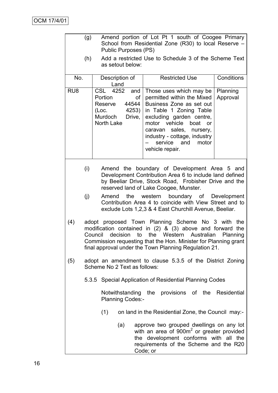|                                                                              | (g)                                                                                                                                                                                                                                                                                                                  |                                                                           | <b>Public Purposes (PS)</b> |                    |                       |                                                                                                                                                                                                                                     |                 |  |       | Amend portion of Lot Pt 1 south of Coogee Primary<br>School from Residential Zone (R30) to local Reserve -                                                                           |
|------------------------------------------------------------------------------|----------------------------------------------------------------------------------------------------------------------------------------------------------------------------------------------------------------------------------------------------------------------------------------------------------------------|---------------------------------------------------------------------------|-----------------------------|--------------------|-----------------------|-------------------------------------------------------------------------------------------------------------------------------------------------------------------------------------------------------------------------------------|-----------------|--|-------|--------------------------------------------------------------------------------------------------------------------------------------------------------------------------------------|
|                                                                              | (h)                                                                                                                                                                                                                                                                                                                  |                                                                           | as setout below:            |                    |                       |                                                                                                                                                                                                                                     |                 |  |       | Add a restricted Use to Schedule 3 of the Scheme Text                                                                                                                                |
| No.                                                                          |                                                                                                                                                                                                                                                                                                                      | Description of<br>Land                                                    |                             |                    | <b>Restricted Use</b> |                                                                                                                                                                                                                                     |                 |  |       | Conditions                                                                                                                                                                           |
| RU <sub>8</sub>                                                              |                                                                                                                                                                                                                                                                                                                      | CSL<br>Portion<br>Reserve<br>(Loc.<br>Murdoch Drive,<br><b>North Lake</b> | 4252<br>4253)               | and<br>οf<br>44544 | caravan               | Those uses which may be<br>permitted within the Mixed<br>Business Zone as set out<br>in Table 1 Zoning Table<br>excluding garden centre,<br>motor vehicle boat or<br>industry - cottage, industry<br>service and<br>vehicle repair. | sales, nursery, |  | motor | Planning<br>Approval                                                                                                                                                                 |
|                                                                              | (i)<br>Amend the boundary of Development Area 5 and<br>Development Contribution Area 6 to include land defined<br>by Beeliar Drive, Stock Road, Frobisher Drive and the<br>reserved land of Lake Coogee, Munster.                                                                                                    |                                                                           |                             |                    |                       |                                                                                                                                                                                                                                     |                 |  |       |                                                                                                                                                                                      |
|                                                                              | (j)<br>western<br>boundary of Development<br>the<br>Amend<br>Contribution Area 4 to coincide with View Street and to<br>exclude Lots 1,2,3 & 4 East Churchill Avenue, Beeliar.                                                                                                                                       |                                                                           |                             |                    |                       |                                                                                                                                                                                                                                     |                 |  |       |                                                                                                                                                                                      |
| (4)                                                                          | adopt proposed Town Planning Scheme No 3 with the<br>modification contained in $(2)$ & $(3)$ above and forward the<br>decision<br>the Western<br>to<br>Australian<br>Planning<br>Council<br>Commission requesting that the Hon. Minister for Planning grant<br>final approval under the Town Planning Regulation 21. |                                                                           |                             |                    |                       |                                                                                                                                                                                                                                     |                 |  |       |                                                                                                                                                                                      |
| (5)                                                                          | adopt an amendment to clause 5.3.5 of the District Zoning<br>Scheme No 2 Text as follows:                                                                                                                                                                                                                            |                                                                           |                             |                    |                       |                                                                                                                                                                                                                                     |                 |  |       |                                                                                                                                                                                      |
|                                                                              |                                                                                                                                                                                                                                                                                                                      | 5.3.5 Special Application of Residential Planning Codes                   |                             |                    |                       |                                                                                                                                                                                                                                     |                 |  |       |                                                                                                                                                                                      |
| Notwithstanding the provisions of the Residential<br><b>Planning Codes:-</b> |                                                                                                                                                                                                                                                                                                                      |                                                                           |                             |                    |                       |                                                                                                                                                                                                                                     |                 |  |       |                                                                                                                                                                                      |
|                                                                              |                                                                                                                                                                                                                                                                                                                      | (1)                                                                       |                             |                    |                       |                                                                                                                                                                                                                                     |                 |  |       | on land in the Residential Zone, the Council may:-                                                                                                                                   |
|                                                                              |                                                                                                                                                                                                                                                                                                                      |                                                                           | (a)                         |                    | Code; or              |                                                                                                                                                                                                                                     |                 |  |       | approve two grouped dwellings on any lot<br>with an area of 900m <sup>2</sup> or greater provided<br>the development conforms with all the<br>requirements of the Scheme and the R20 |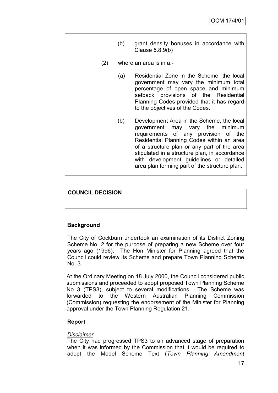- (b) grant density bonuses in accordance with Clause 5.8.9(b)
- (2) where an area is in a:-
	- (a) Residential Zone in the Scheme, the local government may vary the minimum total percentage of open space and minimum setback provisions of the Residential Planning Codes provided that it has regard to the objectives of the Codes.
	- (b) Development Area in the Scheme, the local government may vary the minimum requirements of any provision of the Residential Planning Codes within an area of a structure plan or any part of the area stipulated in a structure plan, in accordance with development guidelines or detailed area plan forming part of the structure plan.

### **COUNCIL DECISION**

### **Background**

The City of Cockburn undertook an examination of its District Zoning Scheme No. 2 for the purpose of preparing a new Scheme over four years ago (1996). The Hon Minister for Planning agreed that the Council could review its Scheme and prepare Town Planning Scheme No. 3.

At the Ordinary Meeting on 18 July 2000, the Council considered public submissions and proceeded to adopt proposed Town Planning Scheme No 3 (TPS3), subject to several modifications. The Scheme was forwarded to the Western Australian Planning Commission (Commission) requesting the endorsement of the Minister for Planning approval under the Town Planning Regulation 21.

### **Report**

### *Disclaimer*

The City had progressed TPS3 to an advanced stage of preparation when it was informed by the Commission that it would be required to adopt the Model Scheme Text (*Town Planning Amendment*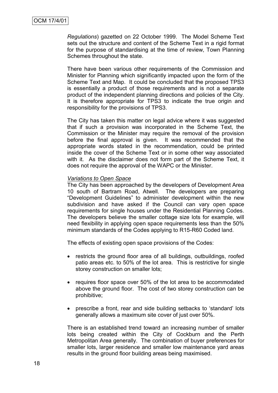*Regulations*) gazetted on 22 October 1999. The Model Scheme Text sets out the structure and content of the Scheme Text in a rigid format for the purpose of standardising at the time of review, Town Planning Schemes throughout the state.

There have been various other requirements of the Commission and Minister for Planning which significantly impacted upon the form of the Scheme Text and Map. It could be concluded that the proposed TPS3 is essentially a product of those requirements and is not a separate product of the independent planning directions and policies of the City. It is therefore appropriate for TPS3 to indicate the true origin and responsibility for the provisions of TPS3.

The City has taken this matter on legal advice where it was suggested that if such a provision was incorporated in the Scheme Text, the Commission or the Minister may require the removal of the provision before the final approval is given. It was recommended that the appropriate words stated in the recommendation, could be printed inside the cover of the Scheme Text or in some other way associated with it. As the disclaimer does not form part of the Scheme Text, it does not require the approval of the WAPC or the Minister.

#### *Variations to Open Space*

The City has been approached by the developers of Development Area 10 south of Bartram Road, Atwell. The developers are preparing "Development Guidelines" to administer development within the new subdivision and have asked if the Council can vary open space requirements for single houses under the Residential Planning Codes. The developers believe the smaller cottage size lots for example, will need flexibility in applying open space requirements less than the 50% minimum standards of the Codes applying to R15-R60 Coded land.

The effects of existing open space provisions of the Codes:

- restricts the ground floor area of all buildings, outbuildings, roofed patio areas etc. to 50% of the lot area. This is restrictive for single storey construction on smaller lots;
- requires floor space over 50% of the lot area to be accommodated above the ground floor. The cost of two storey construction can be prohibitive;
- prescribe a front, rear and side building setbacks to 'standard' lots generally allows a maximum site cover of just over 50%.

There is an established trend toward an increasing number of smaller lots being created within the City of Cockburn and the Perth Metropolitan Area generally. The combination of buyer preferences for smaller lots, larger residence and smaller low maintenance yard areas results in the ground floor building areas being maximised.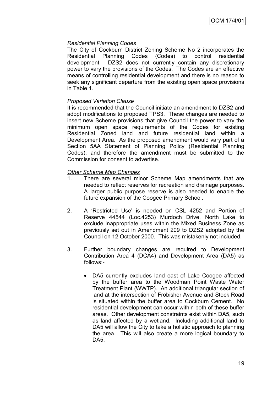### *Residential Planning Codes*

The City of Cockburn District Zoning Scheme No 2 incorporates the Residential Planning Codes (Codes) to control residential development. DZS2 does not currently contain any discretionary power to vary the provisions of the Codes. The Codes are an effective means of controlling residential development and there is no reason to seek any significant departure from the existing open space provisions in Table 1.

### *Proposed Variation Clause*

It is recommended that the Council initiate an amendment to DZS2 and adopt modifications to proposed TPS3. These changes are needed to insert new Scheme provisions that give Council the power to vary the minimum open space requirements of the Codes for existing Residential Zoned land and future residential land within a Development Area. As the proposed amendment would vary part of a Section 5AA Statement of Planning Policy (Residential Planning Codes), and therefore the amendment must be submitted to the Commission for consent to advertise.

### *Other Scheme Map Changes*

- 1. There are several minor Scheme Map amendments that are needed to reflect reserves for recreation and drainage purposes. A larger public purpose reserve is also needed to enable the future expansion of the Coogee Primary School.
- 2. A "Restricted Use" is needed on CSL 4252 and Portion of Reserve 44544 (Loc.4253) Murdoch Drive, North Lake to exclude inappropriate uses within the Mixed Business Zone as previously set out in Amendment 209 to DZS2 adopted by the Council on 12 October 2000. This was mistakenly not included.
- 3. Further boundary changes are required to Development Contribution Area 4 (DCA4) and Development Area (DA5) as follows:-
	- DA5 currently excludes land east of Lake Coogee affected by the buffer area to the Woodman Point Waste Water Treatment Plant (WWTP). An additional triangular section of land at the intersection of Frobisher Avenue and Stock Road is situated within the buffer area to Cockburn Cement. No residential development can occur within both of these buffer areas. Other development constraints exist within DA5, such as land affected by a wetland. Including additional land to DA5 will allow the City to take a holistic approach to planning the area. This will also create a more logical boundary to DA5.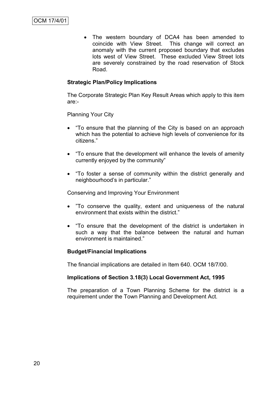The western boundary of DCA4 has been amended to coincide with View Street. This change will correct an anomaly with the current proposed boundary that excludes lots west of View Street. These excluded View Street lots are severely constrained by the road reservation of Stock Road.

### **Strategic Plan/Policy Implications**

The Corporate Strategic Plan Key Result Areas which apply to this item are:-

Planning Your City

- "To ensure that the planning of the City is based on an approach which has the potential to achieve high levels of convenience for its citizens."
- "To ensure that the development will enhance the levels of amenity currently enjoyed by the community"
- "To foster a sense of community within the district generally and neighbourhood"s in particular."

Conserving and Improving Your Environment

- "To conserve the quality, extent and uniqueness of the natural environment that exists within the district."
- "To ensure that the development of the district is undertaken in such a way that the balance between the natural and human environment is maintained."

### **Budget/Financial Implications**

The financial implications are detailed in Item 640. OCM 18/7/00.

#### **Implications of Section 3.18(3) Local Government Act, 1995**

The preparation of a Town Planning Scheme for the district is a requirement under the Town Planning and Development Act.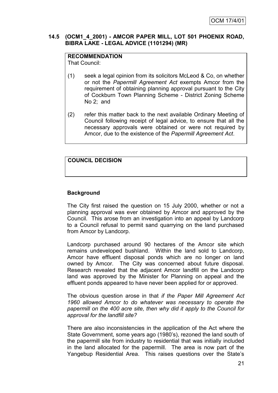### **14.5 (OCM1\_4\_2001) - AMCOR PAPER MILL, LOT 501 PHOENIX ROAD, BIBRA LAKE - LEGAL ADVICE (1101294) (MR)**

### **RECOMMENDATION**

That Council:

- (1) seek a legal opinion from its solicitors McLeod & Co, on whether or not the *Papermill Agreement Act* exempts Amcor from the requirement of obtaining planning approval pursuant to the City of Cockburn Town Planning Scheme - District Zoning Scheme No 2; and
- (2) refer this matter back to the next available Ordinary Meeting of Council following receipt of legal advice, to ensure that all the necessary approvals were obtained or were not required by Amcor, due to the existence of the *Papermill Agreement Act*.

### **COUNCIL DECISION**

### **Background**

The City first raised the question on 15 July 2000, whether or not a planning approval was ever obtained by Amcor and approved by the Council. This arose from an investigation into an appeal by Landcorp to a Council refusal to permit sand quarrying on the land purchased from Amcor by Landcorp.

Landcorp purchased around 90 hectares of the Amcor site which remains undeveloped bushland. Within the land sold to Landcorp, Amcor have effluent disposal ponds which are no longer on land owned by Amcor. The City was concerned about future disposal. Research revealed that the adjacent Amcor landfill on the Landcorp land was approved by the Minister for Planning on appeal and the effluent ponds appeared to have never been applied for or approved.

The obvious question arose in that *if the Paper Mill Agreement Act 1960 allowed Amcor to do whatever was necessary to operate the papermill on the 400 acre site, then why did it apply to the Council for approval for the landfill site?* 

There are also inconsistencies in the application of the Act where the State Government, some years ago (1980"s), rezoned the land south of the papermill site from industry to residential that was initially included in the land allocated for the papermill. The area is now part of the Yangebup Residential Area. This raises questions over the State"s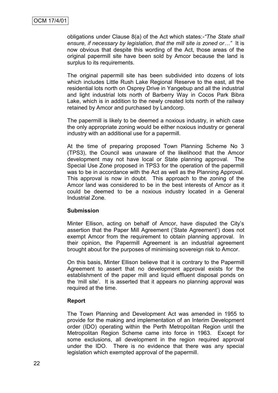obligations under Clause 8(a) of the Act which states:-*"The State shall ensure, if necessary by legislation, that the mill site is zoned or…"* It is now obvious that despite this wording of the Act, those areas of the original papermill site have been sold by Amcor because the land is surplus to its requirements.

The original papermill site has been subdivided into dozens of lots which includes Little Rush Lake Regional Reserve to the east, all the residential lots north on Osprey Drive in Yangebup and all the industrial and light industrial lots north of Barberry Way in Cocos Park Bibra Lake, which is in addition to the newly created lots north of the railway retained by Amcor and purchased by Landcorp.

The papermill is likely to be deemed a noxious industry, in which case the only appropriate zoning would be either noxious industry or general industry with an additional use for a papermill.

At the time of preparing proposed Town Planning Scheme No 3 (TPS3), the Council was unaware of the likelihood that the Amcor development may not have local or State planning approval. The Special Use Zone proposed in TPS3 for the operation of the papermill was to be in accordance with the Act as well as the Planning Approval. This approval is now in doubt. This approach to the zoning of the Amcor land was considered to be in the best interests of Amcor as it could be deemed to be a noxious industry located in a General Industrial Zone.

### **Submission**

Minter Ellison, acting on behalf of Amcor, have disputed the City"s assertion that the Paper Mill Agreement ("State Agreement") does not exempt Amcor from the requirement to obtain planning approval. In their opinion, the Papermill Agreement is an industrial agreement brought about for the purposes of minimising sovereign risk to Amcor.

On this basis, Minter Ellison believe that it is contrary to the Papermill Agreement to assert that no development approval exists for the establishment of the paper mill and liquid effluent disposal ponds on the "mill site". It is asserted that it appears no planning approval was required at the time.

### **Report**

The Town Planning and Development Act was amended in 1955 to provide for the making and implementation of an Interim Development order (IDO) operating within the Perth Metropolitan Region until the Metropolitan Region Scheme came into force in 1963. Except for some exclusions, all development in the region required approval under the IDO. There is no evidence that there was any special legislation which exempted approval of the papermill.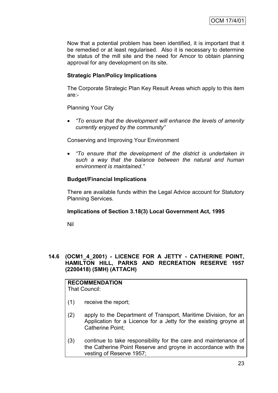Now that a potential problem has been identified, it is important that it be remedied or at least regularised. Also it is necessary to determine the status of the mill site and the need for Amcor to obtain planning approval for any development on its site.

### **Strategic Plan/Policy Implications**

The Corporate Strategic Plan Key Result Areas which apply to this item are:-

Planning Your City

 *"To ensure that the development will enhance the levels of amenity currently enjoyed by the community"*

Conserving and Improving Your Environment

 *"To ensure that the development of the district is undertaken in such a way that the balance between the natural and human environment is maintained."*

### **Budget/Financial Implications**

There are available funds within the Legal Advice account for Statutory Planning Services.

#### **Implications of Section 3.18(3) Local Government Act, 1995**

Nil

### **14.6 (OCM1\_4\_2001) - LICENCE FOR A JETTY - CATHERINE POINT, HAMILTON HILL, PARKS AND RECREATION RESERVE 1957 (2200418) (SMH) (ATTACH)**

# **RECOMMENDATION**

That Council:

- (1) receive the report;
- (2) apply to the Department of Transport, Maritime Division, for an Application for a Licence for a Jetty for the existing groyne at Catherine Point;
- (3) continue to take responsibility for the care and maintenance of the Catherine Point Reserve and groyne in accordance with the vesting of Reserve 1957;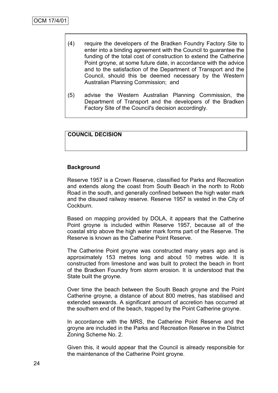- (4) require the developers of the Bradken Foundry Factory Site to enter into a binding agreement with the Council to guarantee the funding of the total cost of construction to extend the Catherine Point groyne, at some future date, in accordance with the advice and to the satisfaction of the Department of Transport and the Council, should this be deemed necessary by the Western Australian Planning Commission; and
- (5) advise the Western Australian Planning Commission, the Department of Transport and the developers of the Bradken Factory Site of the Council's decision accordingly.

#### **COUNCIL DECISION**

#### **Background**

Reserve 1957 is a Crown Reserve, classified for Parks and Recreation and extends along the coast from South Beach in the north to Robb Road in the south, and generally confined between the high water mark and the disused railway reserve. Reserve 1957 is vested in the City of Cockburn.

Based on mapping provided by DOLA, it appears that the Catherine Point groyne is included within Reserve 1957, because all of the coastal strip above the high water mark forms part of the Reserve. The Reserve is known as the Catherine Point Reserve.

The Catherine Point groyne was constructed many years ago and is approximately 153 metres long and about 10 metres wide. It is constructed from limestone and was built to protect the beach in front of the Bradken Foundry from storm erosion. It is understood that the State built the groyne.

Over time the beach between the South Beach groyne and the Point Catherine groyne, a distance of about 800 metres, has stabilised and extended seawards. A significant amount of accretion has occurred at the southern end of the beach, trapped by the Point Catherine groyne.

In accordance with the MRS, the Catherine Point Reserve and the groyne are included in the Parks and Recreation Reserve in the District Zoning Scheme No. 2.

Given this, it would appear that the Council is already responsible for the maintenance of the Catherine Point groyne.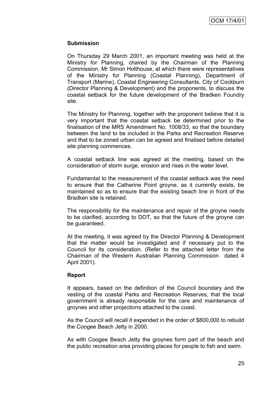#### **Submission**

On Thursday 29 March 2001, an important meeting was held at the Ministry for Planning, chaired by the Chairman of the Planning Commission, Mr Simon Holthouse, at which there were representatives of the Ministry for Planning (Coastal Planning), Department of Transport (Marine), Coastal Engineering Consultants, City of Cockburn (Director Planning & Development) and the proponents, to discuss the coastal setback for the future development of the Bradken Foundry site.

The Ministry for Planning, together with the proponent believe that it is very important that the coastal setback be determined prior to the finalisation of the MRS Amendment No. 1008/33, so that the boundary between the land to be included in the Parks and Recreation Reserve and that to be zoned urban can be agreed and finalised before detailed site planning commences.

A coastal setback line was agreed at the meeting, based on the consideration of storm surge, erosion and rises in the water level.

Fundamental to the measurement of the coastal setback was the need to ensure that the Catherine Point groyne, as it currently exists, be maintained so as to ensure that the existing beach line in front of the Bradken site is retained.

The responsibility for the maintenance and repair of the groyne needs to be clarified, according to DOT, so that the future of the groyne can be guaranteed.

At the meeting, it was agreed by the Director Planning & Development that the matter would be investigated and if necessary put to the Council for its consideration. (Refer to the attached letter from the Chairman of the Western Australian Planning Commission dated 4 April 2001).

### **Report**

It appears, based on the definition of the Council boundary and the vesting of the coastal Parks and Recreation Reserves, that the local government is already responsible for the care and maintenance of groynes and other projections attached to the coast.

As the Council will recall it expended in the order of \$800,000 to rebuild the Coogee Beach Jetty in 2000.

As with Coogee Beach Jetty the groynes form part of the beach and the public recreation area providing places for people to fish and swim.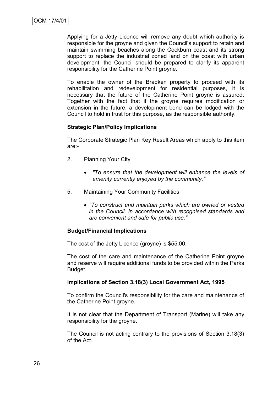Applying for a Jetty Licence will remove any doubt which authority is responsible for the groyne and given the Council's support to retain and maintain swimming beaches along the Cockburn coast and its strong support to replace the industrial zoned land on the coast with urban development, the Council should be prepared to clarify its apparent responsibility for the Catherine Point groyne.

To enable the owner of the Bradken property to proceed with its rehabilitation and redevelopment for residential purposes, it is necessary that the future of the Catherine Point groyne is assured. Together with the fact that if the groyne requires modification or extension in the future, a development bond can be lodged with the Council to hold in trust for this purpose, as the responsible authority.

### **Strategic Plan/Policy Implications**

The Corporate Strategic Plan Key Result Areas which apply to this item are:-

- 2. Planning Your City
	- *"To ensure that the development will enhance the levels of amenity currently enjoyed by the community."*
- 5. Maintaining Your Community Facilities
	- *"To construct and maintain parks which are owned or vested in the Council, in accordance with recognised standards and are convenient and safe for public use."*

### **Budget/Financial Implications**

The cost of the Jetty Licence (groyne) is \$55.00.

The cost of the care and maintenance of the Catherine Point groyne and reserve will require additional funds to be provided within the Parks Budget.

### **Implications of Section 3.18(3) Local Government Act, 1995**

To confirm the Council's responsibility for the care and maintenance of the Catherine Point groyne.

It is not clear that the Department of Transport (Marine) will take any responsibility for the groyne.

The Council is not acting contrary to the provisions of Section 3.18(3) of the Act.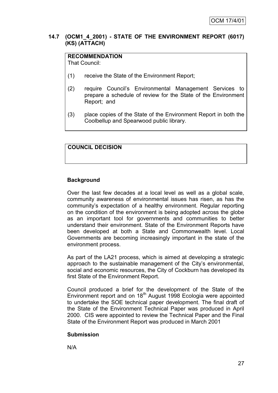### **14.7 (OCM1\_4\_2001) - STATE OF THE ENVIRONMENT REPORT (6017) (KS) (ATTACH)**

## **RECOMMENDATION**

That Council:

- (1) receive the State of the Environment Report;
- (2) require Council"s Environmental Management Services to prepare a schedule of review for the State of the Environment Report; and
- (3) place copies of the State of the Environment Report in both the Coolbellup and Spearwood public library.

### **COUNCIL DECISION**

### **Background**

Over the last few decades at a local level as well as a global scale, community awareness of environmental issues has risen, as has the community"s expectation of a healthy environment. Regular reporting on the condition of the environment is being adopted across the globe as an important tool for governments and communities to better understand their environment. State of the Environment Reports have been developed at both a State and Commonwealth level. Local Governments are becoming increasingly important in the state of the environment process.

As part of the LA21 process, which is aimed at developing a strategic approach to the sustainable management of the City"s environmental, social and economic resources, the City of Cockburn has developed its first State of the Environment Report.

Council produced a brief for the development of the State of the Environment report and on 18<sup>th</sup> August 1998 Ecologia were appointed to undertake the SOE technical paper development. The final draft of the State of the Environment Technical Paper was produced in April 2000. CIS were appointed to review the Technical Paper and the Final State of the Environment Report was produced in March 2001

### **Submission**

N/A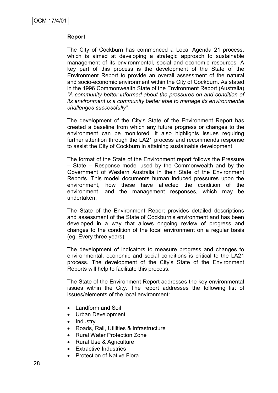### **Report**

The City of Cockburn has commenced a Local Agenda 21 process, which is aimed at developing a strategic approach to sustainable management of its environmental, social and economic resources. A key part of this process is the development of the State of the Environment Report to provide an overall assessment of the natural and socio-economic environment within the City of Cockburn. As stated in the 1996 Commonwealth State of the Environment Report (Australia) *"A community better informed about the pressures on and condition of its environment is a community better able to manage its environmental challenges successfully".* 

The development of the City's State of the Environment Report has created a baseline from which any future progress or changes to the environment can be monitored. It also highlights issues requiring further attention through the LA21 process and recommends response to assist the City of Cockburn in attaining sustainable development.

The format of the State of the Environment report follows the Pressure – State – Response model used by the Commonwealth and by the Government of Western Australia in their State of the Environment Reports. This model documents human induced pressures upon the environment, how these have affected the condition of the environment, and the management responses, which may be undertaken.

The State of the Environment Report provides detailed descriptions and assessment of the State of Cockburn's environment and has been developed in a way that allows ongoing review of progress and changes to the condition of the local environment on a regular basis (eg. Every three years).

The development of indicators to measure progress and changes to environmental, economic and social conditions is critical to the LA21 process. The development of the City"s State of the Environment Reports will help to facilitate this process.

The State of the Environment Report addresses the key environmental issues within the City. The report addresses the following list of issues/elements of the local environment:

- Landform and Soil
- Urban Development
- Industry
- Roads, Rail, Utilities & Infrastructure
- Rural Water Protection Zone
- Rural Use & Agriculture
- Extractive Industries
- Protection of Native Flora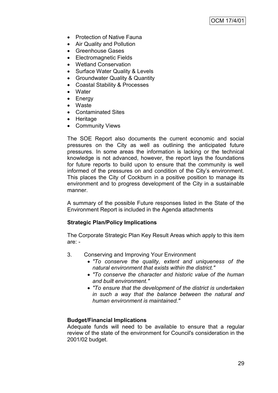- Protection of Native Fauna
- Air Quality and Pollution
- Greenhouse Gases
- Electromagnetic Fields
- Wetland Conservation
- Surface Water Quality & Levels
- Groundwater Quality & Quantity
- Coastal Stability & Processes
- Water
- Energy
- Waste
- Contaminated Sites
- Heritage
- Community Views

The SOE Report also documents the current economic and social pressures on the City as well as outlining the anticipated future pressures. In some areas the information is lacking or the technical knowledge is not advanced, however, the report lays the foundations for future reports to build upon to ensure that the community is well informed of the pressures on and condition of the City's environment. This places the City of Cockburn in a positive position to manage its environment and to progress development of the City in a sustainable manner.

A summary of the possible Future responses listed in the State of the Environment Report is included in the Agenda attachments

### **Strategic Plan/Policy Implications**

The Corporate Strategic Plan Key Result Areas which apply to this item are: -

- 3. Conserving and Improving Your Environment
	- *"To conserve the quality, extent and uniqueness of the natural environment that exists within the district."*
	- *"To conserve the character and historic value of the human and built environment."*
	- *"To ensure that the development of the district is undertaken in such a way that the balance between the natural and human environment is maintained."*

### **Budget/Financial Implications**

Adequate funds will need to be available to ensure that a regular review of the state of the environment for Council's consideration in the 2001/02 budget.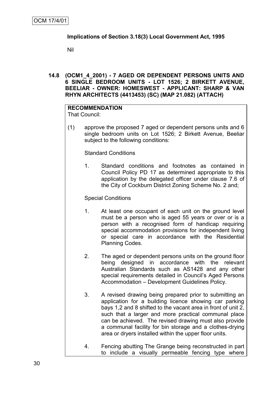### **Implications of Section 3.18(3) Local Government Act, 1995**

Nil

**14.8 (OCM1\_4\_2001) - 7 AGED OR DEPENDENT PERSONS UNITS AND 6 SINGLE BEDROOM UNITS - LOT 1526; 2 BIRKETT AVENUE, BEELIAR - OWNER: HOMESWEST - APPLICANT: SHARP & VAN RHYN ARCHITECTS (4413453) (SC) (MAP 21.082) (ATTACH)**

#### **RECOMMENDATION** That Council:

(1) approve the proposed 7 aged or dependent persons units and 6 single bedroom units on Lot 1526; 2 Birkett Avenue, Beeliar subject to the following conditions:

Standard Conditions

1. Standard conditions and footnotes as contained in Council Policy PD 17 as determined appropriate to this application by the delegated officer under clause 7.6 of the City of Cockburn District Zoning Scheme No. 2 and;

### Special Conditions

- 1. At least one occupant of each unit on the ground level must be a person who is aged 55 years or over or is a person with a recognised form of handicap requiring special accommodation provisions for independent living or special care in accordance with the Residential Planning Codes.
- 2. The aged or dependent persons units on the ground floor being designed in accordance with the relevant Australian Standards such as AS1428 and any other special requirements detailed in Council's Aged Persons Accommodation – Development Guidelines Policy.
- 3. A revised drawing being prepared prior to submitting an application for a building licence showing car parking bays 1,2 and 8 shifted to the vacant area in front of unit 2, such that a larger and more practical communal place can be achieved. The revised drawing must also provide a communal facility for bin storage and a clothes-drying area or dryers installed within the upper floor units.
- 4. Fencing abutting The Grange being reconstructed in part to include a visually permeable fencing type where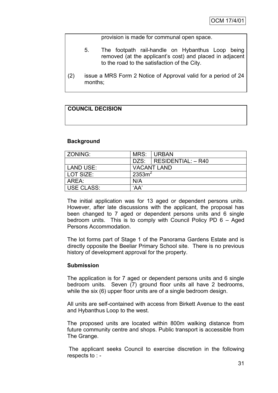provision is made for communal open space.

- 5. The footpath rail-handle on Hybanthus Loop being removed (at the applicant"s cost) and placed in adjacent to the road to the satisfaction of the City.
- (2) issue a MRS Form 2 Notice of Approval valid for a period of 24 months;

## **COUNCIL DECISION**

#### **Background**

| l ZONING:         | MRS:      | <b>URBAN</b>                  |
|-------------------|-----------|-------------------------------|
|                   |           | $DZS:  $ RESIDENTIAL: $-$ R40 |
| LAND USE:         |           | <b>VACANT LAND</b>            |
| l LOT SIZE:       | $2353m^2$ |                               |
| AREA:             | N/A       |                               |
| <b>USE CLASS:</b> | 'AA'      |                               |

The initial application was for 13 aged or dependent persons units. However, after late discussions with the applicant, the proposal has been changed to 7 aged or dependent persons units and 6 single bedroom units. This is to comply with Council Policy PD 6 – Aged Persons Accommodation.

The lot forms part of Stage 1 of the Panorama Gardens Estate and is directly opposite the Beeliar Primary School site. There is no previous history of development approval for the property.

#### **Submission**

The application is for 7 aged or dependent persons units and 6 single bedroom units. Seven (7) ground floor units all have 2 bedrooms, while the six (6) upper floor units are of a single bedroom design.

All units are self-contained with access from Birkett Avenue to the east and Hybanthus Loop to the west.

The proposed units are located within 800m walking distance from future community centre and shops. Public transport is accessible from The Grange.

The applicant seeks Council to exercise discretion in the following respects to : -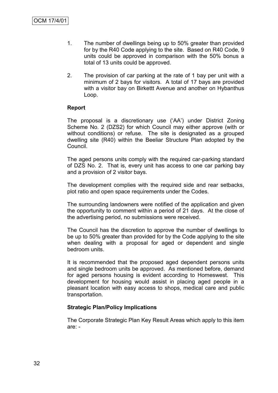- 1. The number of dwellings being up to 50% greater than provided for by the R40 Code applying to the site. Based on R40 Code, 9 units could be approved in comparison with the 50% bonus a total of 13 units could be approved.
- 2. The provision of car parking at the rate of 1 bay per unit with a minimum of 2 bays for visitors. A total of 17 bays are provided with a visitor bay on Birkettt Avenue and another on Hybanthus Loop.

#### **Report**

The proposal is a discretionary use ("AA") under District Zoning Scheme No. 2 (DZS2) for which Council may either approve (with or without conditions) or refuse. The site is designated as a grouped dwelling site (R40) within the Beeliar Structure Plan adopted by the Council.

The aged persons units comply with the required car-parking standard of DZS No. 2. That is, every unit has access to one car parking bay and a provision of 2 visitor bays.

The development complies with the required side and rear setbacks, plot ratio and open space requirements under the Codes.

The surrounding landowners were notified of the application and given the opportunity to comment within a period of 21 days. At the close of the advertising period, no submissions were received.

The Council has the discretion to approve the number of dwellings to be up to 50% greater than provided for by the Code applying to the site when dealing with a proposal for aged or dependent and single bedroom units.

It is recommended that the proposed aged dependent persons units and single bedroom units be approved. As mentioned before, demand for aged persons housing is evident according to Homeswest. This development for housing would assist in placing aged people in a pleasant location with easy access to shops, medical care and public transportation.

#### **Strategic Plan/Policy Implications**

The Corporate Strategic Plan Key Result Areas which apply to this item are: -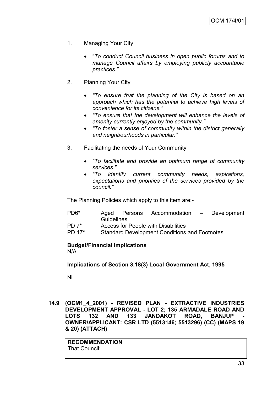- 1. Managing Your City
	- "*To conduct Council business in open public forums and to manage Council affairs by employing publicly accountable practices."*
- 2. Planning Your City
	- *"To ensure that the planning of the City is based on an approach which has the potential to achieve high levels of convenience for its citizens."*
	- *"To ensure that the development will enhance the levels of amenity currently enjoyed by the community."*
	- *"To foster a sense of community within the district generally and neighbourhoods in particular."*
- 3. Facilitating the needs of Your Community
	- *"To facilitate and provide an optimum range of community services."*
	- *"To identify current community needs, aspirations, expectations and priorities of the services provided by the council."*

The Planning Policies which apply to this item are:-

- PD6\* Aged Persons Accommodation Development **Guidelines**
- PD 7\* Access for People with Disabilities
- PD 17\* Standard Development Conditions and Footnotes

#### **Budget/Financial Implications** N/A

**Implications of Section 3.18(3) Local Government Act, 1995**

Nil

**14.9 (OCM1\_4\_2001) - REVISED PLAN - EXTRACTIVE INDUSTRIES DEVELOPMENT APPROVAL - LOT 2; 135 ARMADALE ROAD AND**  LOTS 132 AND 133 JANDAKOT ROAD, BANJUP **OWNER/APPLICANT: CSR LTD (5513146; 5513296) (CC) (MAPS 19 & 20) (ATTACH)**

**RECOMMENDATION** That Council: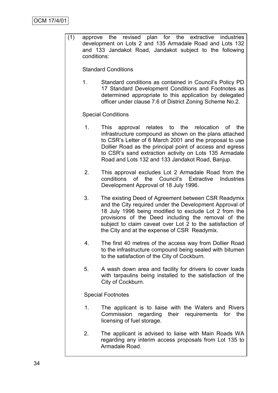(1) approve the revised plan for the extractive industries development on Lots 2 and 135 Armadale Road and Lots 132 and 133 Jandakot Road, Jandakot subject to the following conditions:

Standard Conditions

1. Standard conditions as contained in Council"s Policy PD 17 Standard Development Conditions and Footnotes as determined appropriate to this application by delegated officer under clause 7.6 of District Zoning Scheme No.2.

Special Conditions

- 1. This approval relates to the relocation of the infrastructure compound as shown on the plans attached to CSR"s Letter of 6 March 2001 and the proposal to use Dollier Road as the principal point of access and egress to CSR"s sand extraction activity on Lots 135 Armadale Road and Lots 132 and 133 Jandakot Road, Banjup.
- 2. This approval excludes Lot 2 Armadale Road from the conditions of the Council"s Extractive Industries Development Approval of 18 July 1996.
- 3. The existing Deed of Agreement between CSR Readymix and the City required under the Development Approval of 18 July 1996 being modified to exclude Lot 2 from the provisions of the Deed including the removal of the subject to claim caveat over Lot 2 to the satisfaction of the City and at the expense of CSR Readymix.
- 4. The first 40 metres of the access way from Dollier Road to the infrastructure compound being sealed with bitumen to the satisfaction of the City of Cockburn.
- 5. A wash down area and facility for drivers to cover loads with tarpaulins being installed to the satisfaction of the City of Cockburn.

Special Footnotes

- 1. The applicant is to liaise with the Waters and Rivers Commission regarding their requirements for the licensing of fuel storage.
- 2. The applicant is advised to liaise with Main Roads WA regarding any interim access proposals from Lot 135 to Armadale Road.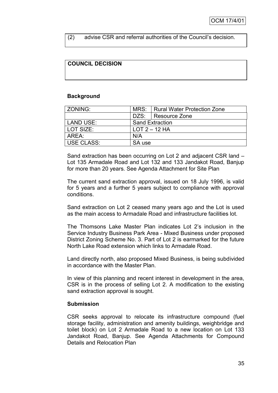(2) advise CSR and referral authorities of the Council"s decision.

# **COUNCIL DECISION**

# **Background**

| ZONING:    |                        | MRS:   Rural Water Protection Zone |  |
|------------|------------------------|------------------------------------|--|
|            |                        | DZS:   Resource Zone               |  |
| LAND USE:  | <b>Sand Extraction</b> |                                    |  |
| LOT SIZE:  | $LOT 2 - 12 HA$        |                                    |  |
| AREA:      | N/A                    |                                    |  |
| USE CLASS: | SA use                 |                                    |  |

Sand extraction has been occurring on Lot 2 and adjacent CSR land – Lot 135 Armadale Road and Lot 132 and 133 Jandakot Road, Banjup for more than 20 years. See Agenda Attachment for Site Plan

The current sand extraction approval, issued on 18 July 1996, is valid for 5 years and a further 5 years subject to compliance with approval conditions.

Sand extraction on Lot 2 ceased many years ago and the Lot is used as the main access to Armadale Road and infrastructure facilities lot.

The Thomsons Lake Master Plan indicates Lot 2"s inclusion in the Service Industry Business Park Area - Mixed Business under proposed District Zoning Scheme No. 3. Part of Lot 2 is earmarked for the future North Lake Road extension which links to Armadale Road.

Land directly north, also proposed Mixed Business, is being subdivided in accordance with the Master Plan.

In view of this planning and recent interest in development in the area, CSR is in the process of selling Lot 2. A modification to the existing sand extraction approval is sought.

## **Submission**

CSR seeks approval to relocate its infrastructure compound (fuel storage facility, administration and amenity buildings, weighbridge and toilet block) on Lot 2 Armadale Road to a new location on Lot 133 Jandakot Road, Banjup. See Agenda Attachments for Compound Details and Relocation Plan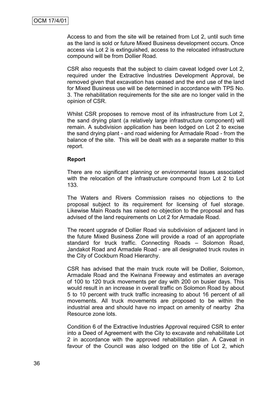Access to and from the site will be retained from Lot 2, until such time as the land is sold or future Mixed Business development occurs. Once access via Lot 2 is extinguished, access to the relocated infrastructure compound will be from Dollier Road.

CSR also requests that the subject to claim caveat lodged over Lot 2, required under the Extractive Industries Development Approval, be removed given that excavation has ceased and the end use of the land for Mixed Business use will be determined in accordance with TPS No. 3. The rehabilitation requirements for the site are no longer valid in the opinion of CSR.

Whilst CSR proposes to remove most of its infrastructure from Lot 2, the sand drying plant (a relatively large infrastructure component) will remain. A subdivision application has been lodged on Lot 2 to excise the sand drying plant - and road widening for Armadale Road - from the balance of the site. This will be dealt with as a separate matter to this report.

#### **Report**

There are no significant planning or environmental issues associated with the relocation of the infrastructure compound from Lot 2 to Lot 133.

The Waters and Rivers Commission raises no objections to the proposal subject to its requirement for licensing of fuel storage. Likewise Main Roads has raised no objection to the proposal and has advised of the land requirements on Lot 2 for Armadale Road.

The recent upgrade of Dollier Road via subdivision of adjacent land in the future Mixed Business Zone will provide a road of an appropriate standard for truck traffic. Connecting Roads – Solomon Road, Jandakot Road and Armadale Road - are all designated truck routes in the City of Cockburn Road Hierarchy.

CSR has advised that the main truck route will be Dollier, Solomon, Armadale Road and the Kwinana Freeway and estimates an average of 100 to 120 truck movements per day with 200 on busier days. This would result in an increase in overall traffic on Solomon Road by about 5 to 10 percent with truck traffic increasing to about 16 percent of all movements. All truck movements are proposed to be within the industrial area and should have no impact on amenity of nearby 2ha Resource zone lots.

Condition 6 of the Extractive Industries Approval required CSR to enter into a Deed of Agreement with the City to excavate and rehabilitate Lot 2 in accordance with the approved rehabilitation plan. A Caveat in favour of the Council was also lodged on the title of Lot 2, which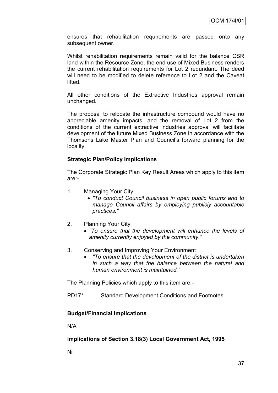ensures that rehabilitation requirements are passed onto any subsequent owner.

Whilst rehabilitation requirements remain valid for the balance CSR land within the Resource Zone, the end use of Mixed Business renders the current rehabilitation requirements for Lot 2 redundant. The deed will need to be modified to delete reference to Lot 2 and the Caveat lifted.

All other conditions of the Extractive Industries approval remain unchanged.

The proposal to relocate the infrastructure compound would have no appreciable amenity impacts, and the removal of Lot 2 from the conditions of the current extractive industries approval will facilitate development of the future Mixed Business Zone in accordance with the Thomsons Lake Master Plan and Council"s forward planning for the locality.

#### **Strategic Plan/Policy Implications**

The Corporate Strategic Plan Key Result Areas which apply to this item are:-

- 1. Managing Your City
	- *"To conduct Council business in open public forums and to manage Council affairs by employing publicly accountable practices."*
- 2. Planning Your City
	- *"To ensure that the development will enhance the levels of amenity currently enjoyed by the community."*
- 3. Conserving and Improving Your Environment
	- *"To ensure that the development of the district is undertaken in such a way that the balance between the natural and human environment is maintained."*

The Planning Policies which apply to this item are:-

PD17\* Standard Development Conditions and Footnotes

#### **Budget/Financial Implications**

N/A

**Implications of Section 3.18(3) Local Government Act, 1995**

Nil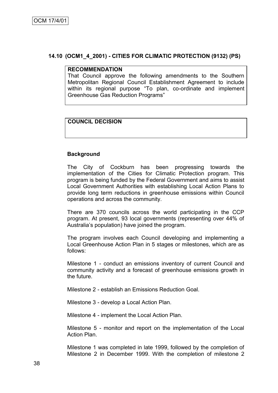#### **14.10 (OCM1\_4\_2001) - CITIES FOR CLIMATIC PROTECTION (9132) (PS)**

#### **RECOMMENDATION**

That Council approve the following amendments to the Southern Metropolitan Regional Council Establishment Agreement to include within its regional purpose "To plan, co-ordinate and implement Greenhouse Gas Reduction Programs"

## **COUNCIL DECISION**

#### **Background**

The City of Cockburn has been progressing towards the implementation of the Cities for Climatic Protection program. This program is being funded by the Federal Government and aims to assist Local Government Authorities with establishing Local Action Plans to provide long term reductions in greenhouse emissions within Council operations and across the community.

There are 370 councils across the world participating in the CCP program. At present, 93 local governments (representing over 44% of Australia"s population) have joined the program.

The program involves each Council developing and implementing a Local Greenhouse Action Plan in 5 stages or milestones, which are as follows:

Milestone 1 - conduct an emissions inventory of current Council and community activity and a forecast of greenhouse emissions growth in the future.

Milestone 2 - establish an Emissions Reduction Goal.

Milestone 3 - develop a Local Action Plan.

Milestone 4 - implement the Local Action Plan.

Milestone 5 - monitor and report on the implementation of the Local Action Plan.

Milestone 1 was completed in late 1999, followed by the completion of Milestone 2 in December 1999. With the completion of milestone 2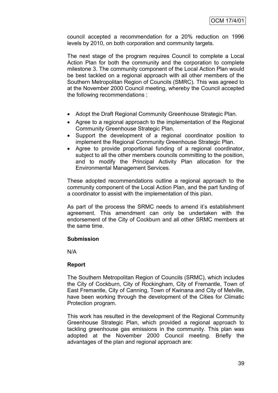council accepted a recommendation for a 20% reduction on 1996 levels by 2010, on both corporation and community targets.

The next stage of the program requires Council to complete a Local Action Plan for both the community and the corporation to complete milestone 3. The community component of the Local Action Plan would be best tackled on a regional approach with all other members of the Southern Metropolitan Region of Councils (SMRC). This was agreed to at the November 2000 Council meeting, whereby the Council accepted the following recommendations :

- Adopt the Draft Regional Community Greenhouse Strategic Plan.
- Agree to a regional approach to the implementation of the Regional Community Greenhouse Strategic Plan.
- Support the development of a regional coordinator position to implement the Regional Community Greenhouse Strategic Plan.
- Agree to provide proportional funding of a regional coordinator, subject to all the other members councils committing to the position, and to modify the Principal Activity Plan allocation for the Environmental Management Services.

These adopted recommendations outline a regional approach to the community component of the Local Action Plan, and the part funding of a coordinator to assist with the implementation of this plan.

As part of the process the SRMC needs to amend it's establishment agreement. This amendment can only be undertaken with the endorsement of the City of Cockburn and all other SRMC members at the same time.

## **Submission**

N/A

#### **Report**

The Southern Metropolitan Region of Councils (SRMC), which includes the City of Cockburn, City of Rockingham, City of Fremantle, Town of East Fremantle, City of Canning, Town of Kwinana and City of Melville, have been working through the development of the Cities for Climatic Protection program.

This work has resulted in the development of the Regional Community Greenhouse Strategic Plan, which provided a regional approach to tackling greenhouse gas emissions in the community. This plan was adopted at the November 2000 Council meeting. Briefly the advantages of the plan and regional approach are: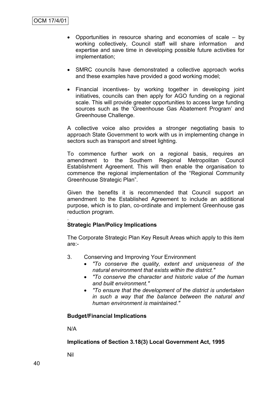- Opportunities in resource sharing and economies of scale by working collectively, Council staff will share information and expertise and save time in developing possible future activities for implementation;
- SMRC councils have demonstrated a collective approach works and these examples have provided a good working model;
- Financial incentives- by working together in developing joint initiatives, councils can then apply for AGO funding on a regional scale. This will provide greater opportunities to access large funding sources such as the 'Greenhouse Gas Abatement Program' and Greenhouse Challenge.

A collective voice also provides a stronger negotiating basis to approach State Government to work with us in implementing change in sectors such as transport and street lighting.

To commence further work on a regional basis, requires an amendment to the Southern Regional Metropolitan Council Establishment Agreement. This will then enable the organisation to commence the regional implementation of the "Regional Community Greenhouse Strategic Plan".

Given the benefits it is recommended that Council support an amendment to the Established Agreement to include an additional purpose, which is to plan, co-ordinate and implement Greenhouse gas reduction program.

#### . **Strategic Plan/Policy Implications**

The Corporate Strategic Plan Key Result Areas which apply to this item are:-

- 3. Conserving and Improving Your Environment
	- *"To conserve the quality, extent and uniqueness of the natural environment that exists within the district."*
	- *"To conserve the character and historic value of the human and built environment."*
	- *"To ensure that the development of the district is undertaken in such a way that the balance between the natural and human environment is maintained."*

## **Budget/Financial Implications**

N/A

## **Implications of Section 3.18(3) Local Government Act, 1995**

Nil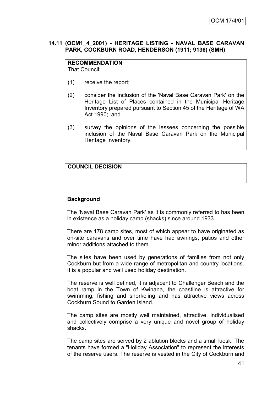## **14.11 (OCM1\_4\_2001) - HERITAGE LISTING - NAVAL BASE CARAVAN PARK, COCKBURN ROAD, HENDERSON (1911; 9136) (SMH)**

#### **RECOMMENDATION** That Council:

- (1) receive the report;
- (2) consider the inclusion of the 'Naval Base Caravan Park' on the Heritage List of Places contained in the Municipal Heritage Inventory prepared pursuant to Section 45 of the Heritage of WA Act 1990; and
- (3) survey the opinions of the lessees concerning the possible inclusion of the Naval Base Caravan Park on the Municipal Heritage Inventory.

## **COUNCIL DECISION**

#### **Background**

The 'Naval Base Caravan Park' as it is commonly referred to has been in existence as a holiday camp (shacks) since around 1933.

There are 178 camp sites, most of which appear to have originated as on-site caravans and over time have had awnings, patios and other minor additions attached to them.

The sites have been used by generations of families from not only Cockburn but from a wide range of metropolitan and country locations. It is a popular and well used holiday destination.

The reserve is well defined, it is adjacent to Challenger Beach and the boat ramp in the Town of Kwinana, the coastline is attractive for swimming, fishing and snorkeling and has attractive views across Cockburn Sound to Garden Island.

The camp sites are mostly well maintained, attractive, individualised and collectively comprise a very unique and novel group of holiday shacks.

The camp sites are served by 2 ablution blocks and a small kiosk. The tenants have formed a "Holiday Association" to represent the interests of the reserve users. The reserve is vested in the City of Cockburn and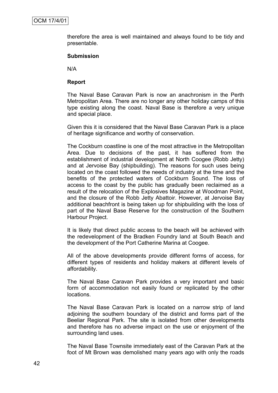therefore the area is well maintained and always found to be tidy and presentable.

#### **Submission**

N/A

#### **Report**

The Naval Base Caravan Park is now an anachronism in the Perth Metropolitan Area. There are no longer any other holiday camps of this type existing along the coast. Naval Base is therefore a very unique and special place.

Given this it is considered that the Naval Base Caravan Park is a place of heritage significance and worthy of conservation.

The Cockburn coastline is one of the most attractive in the Metropolitan Area. Due to decisions of the past, it has suffered from the establishment of industrial development at North Coogee (Robb Jetty) and at Jervoise Bay (shipbuilding). The reasons for such uses being located on the coast followed the needs of industry at the time and the benefits of the protected waters of Cockburn Sound. The loss of access to the coast by the public has gradually been reclaimed as a result of the relocation of the Explosives Magazine at Woodman Point, and the closure of the Robb Jetty Abattoir. However, at Jervoise Bay additional beachfront is being taken up for shipbuilding with the loss of part of the Naval Base Reserve for the construction of the Southern Harbour Project.

It is likely that direct public access to the beach will be achieved with the redevelopment of the Bradken Foundry land at South Beach and the development of the Port Catherine Marina at Coogee.

All of the above developments provide different forms of access, for different types of residents and holiday makers at different levels of affordability.

The Naval Base Caravan Park provides a very important and basic form of accommodation not easily found or replicated by the other locations.

The Naval Base Caravan Park is located on a narrow strip of land adjoining the southern boundary of the district and forms part of the Beeliar Regional Park. The site is isolated from other developments and therefore has no adverse impact on the use or enjoyment of the surrounding land uses.

The Naval Base Townsite immediately east of the Caravan Park at the foot of Mt Brown was demolished many years ago with only the roads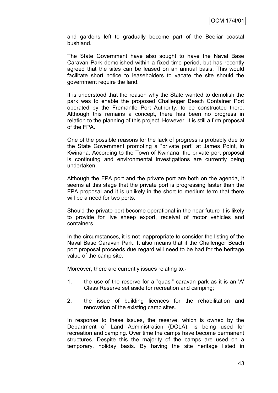and gardens left to gradually become part of the Beeliar coastal bushland.

The State Government have also sought to have the Naval Base Caravan Park demolished within a fixed time period, but has recently agreed that the sites can be leased on an annual basis. This would facilitate short notice to leaseholders to vacate the site should the government require the land.

It is understood that the reason why the State wanted to demolish the park was to enable the proposed Challenger Beach Container Port operated by the Fremantle Port Authority, to be constructed there. Although this remains a concept, there has been no progress in relation to the planning of this project. However, it is still a firm proposal of the FPA.

One of the possible reasons for the lack of progress is probably due to the State Government promoting a "private port" at James Point, in Kwinana. According to the Town of Kwinana, the private port proposal is continuing and environmental investigations are currently being undertaken.

Although the FPA port and the private port are both on the agenda, it seems at this stage that the private port is progressing faster than the FPA proposal and it is unlikely in the short to medium term that there will be a need for two ports.

Should the private port become operational in the near future it is likely to provide for live sheep export, receival of motor vehicles and containers.

In the circumstances, it is not inappropriate to consider the listing of the Naval Base Caravan Park. It also means that if the Challenger Beach port proposal proceeds due regard will need to be had for the heritage value of the camp site.

Moreover, there are currently issues relating to:-

- 1. the use of the reserve for a "quasi" caravan park as it is an 'A' Class Reserve set aside for recreation and camping;
- 2. the issue of building licences for the rehabilitation and renovation of the existing camp sites.

In response to these issues, the reserve, which is owned by the Department of Land Administration (DOLA), is being used for recreation and camping. Over time the camps have become permanent structures. Despite this the majority of the camps are used on a temporary, holiday basis. By having the site heritage listed in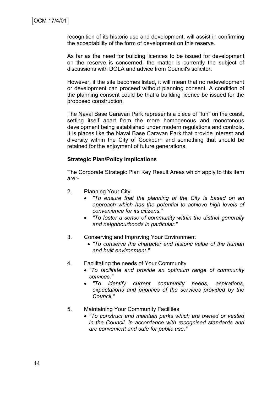recognition of its historic use and development, will assist in confirming the acceptability of the form of development on this reserve.

As far as the need for building licences to be issued for development on the reserve is concerned, the matter is currently the subject of discussions with DOLA and advice from Council's solicitor.

However, if the site becomes listed, it will mean that no redevelopment or development can proceed without planning consent. A condition of the planning consent could be that a building licence be issued for the proposed construction.

The Naval Base Caravan Park represents a piece of "fun" on the coast, setting itself apart from the more homogenous and monotonous development being established under modern regulations and controls. It is places like the Naval Base Caravan Park that provide interest and diversity within the City of Cockburn and something that should be retained for the enjoyment of future generations.

#### **Strategic Plan/Policy Implications**

The Corporate Strategic Plan Key Result Areas which apply to this item are:-

- 2. Planning Your City
	- *"To ensure that the planning of the City is based on an approach which has the potential to achieve high levels of convenience for its citizens."*
	- *"To foster a sense of community within the district generally and neighbourhoods in particular."*
- 3. Conserving and Improving Your Environment
	- *"To conserve the character and historic value of the human and built environment."*
- 4. Facilitating the needs of Your Community
	- *"To facilitate and provide an optimum range of community services."*
	- *"To identify current community needs, aspirations, expectations and priorities of the services provided by the Council."*
- 5. Maintaining Your Community Facilities
	- *"To construct and maintain parks which are owned or vested in the Council, in accordance with recognised standards and are convenient and safe for public use."*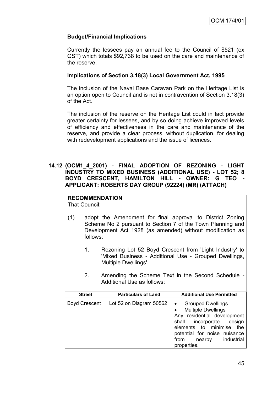## **Budget/Financial Implications**

Currently the lessees pay an annual fee to the Council of \$521 (ex GST) which totals \$92,738 to be used on the care and maintenance of the reserve.

#### **Implications of Section 3.18(3) Local Government Act, 1995**

The inclusion of the Naval Base Caravan Park on the Heritage List is an option open to Council and is not in contravention of Section 3.18(3) of the Act.

The inclusion of the reserve on the Heritage List could in fact provide greater certainty for lessees, and by so doing achieve improved levels of efficiency and effectiveness in the care and maintenance of the reserve, and provide a clear process, without duplication, for dealing with redevelopment applications and the issue of licences.

#### **14.12 (OCM1\_4\_2001) - FINAL ADOPTION OF REZONING - LIGHT INDUSTRY TO MIXED BUSINESS (ADDITIONAL USE) - LOT 52; 8 BOYD CRESCENT, HAMILTON HILL - OWNER: G TEO - APPLICANT: ROBERTS DAY GROUP (92224) (MR) (ATTACH)**

# **RECOMMENDATION**

That Council:

- (1) adopt the Amendment for final approval to District Zoning Scheme No 2 pursuant to Section 7 of the Town Planning and Development Act 1928 (as amended) without modification as follows:
	- 1. Rezoning Lot 52 Boyd Crescent from 'Light Industry' to 'Mixed Business - Additional Use - Grouped Dwellings, Multiple Dwellings'.
	- 2. Amending the Scheme Text in the Second Schedule Additional Use as follows:

| <b>Street</b>        | <b>Particulars of Land</b> | <b>Additional Use Permitted</b>                                                                                                                                                                                                                    |
|----------------------|----------------------------|----------------------------------------------------------------------------------------------------------------------------------------------------------------------------------------------------------------------------------------------------|
| <b>Boyd Crescent</b> | Lot 52 on Diagram 50562    | <b>Grouped Dwellings</b><br>$\bullet$<br><b>Multiple Dwellings</b><br>$\bullet$<br>Any residential development<br>shall incorporate design<br>elements to minimise the<br>potential for noise nuisance<br>nearby industrial<br>from<br>properties. |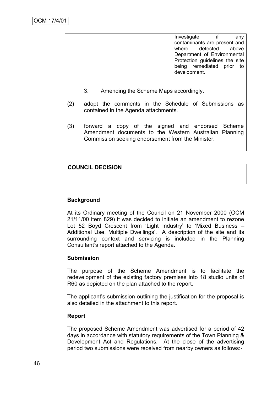|  | Investigate  |                                | any |
|--|--------------|--------------------------------|-----|
|  |              | contaminants are present and   |     |
|  |              | where detected above           |     |
|  |              | Department of Environmental    |     |
|  |              | Protection guidelines the site |     |
|  |              | being remediated prior         | to  |
|  | development. |                                |     |
|  |              |                                |     |

- 3. Amending the Scheme Maps accordingly.
- (2) adopt the comments in the Schedule of Submissions as contained in the Agenda attachments.
- (3) forward a copy of the signed and endorsed Scheme Amendment documents to the Western Australian Planning Commission seeking endorsement from the Minister.

## **COUNCIL DECISION**

#### **Background**

At its Ordinary meeting of the Council on 21 November 2000 (OCM 21/11/00 item 829) it was decided to initiate an amendment to rezone Lot 52 Boyd Crescent from 'Light Industry' to 'Mixed Business -Additional Use, Multiple Dwellings'. A description of the site and its surrounding context and servicing is included in the Planning Consultant"s report attached to the Agenda.

#### **Submission**

The purpose of the Scheme Amendment is to facilitate the redevelopment of the existing factory premises into 18 studio units of R60 as depicted on the plan attached to the report.

The applicant's submission outlining the justification for the proposal is also detailed in the attachment to this report.

#### **Report**

The proposed Scheme Amendment was advertised for a period of 42 days in accordance with statutory requirements of the Town Planning & Development Act and Regulations. At the close of the advertising period two submissions were received from nearby owners as follows:-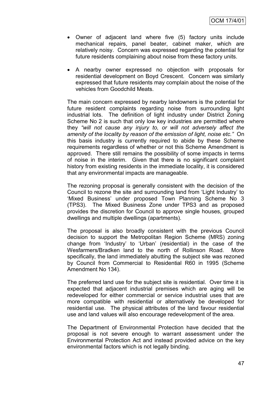- Owner of adjacent land where five (5) factory units include mechanical repairs, panel beater, cabinet maker, which are relatively noisy. Concern was expressed regarding the potential for future residents complaining about noise from these factory units.
- A nearby owner expressed no objection with proposals for residential development on Boyd Crescent. Concern was similarly expressed that future residents may complain about the noise of the vehicles from Goodchild Meats.

The main concern expressed by nearby landowners is the potential for future resident complaints regarding noise from surrounding light industrial lots. The definition of light industry under District Zoning Scheme No 2 is such that only low key industries are permitted where they *"will not cause any injury to, or will not adversely affect the amenity of the locality by reason of the emission of light, noise etc."* On this basis industry is currently required to abide by these Scheme requirements regardless of whether or not this Scheme Amendment is approved. There still remains the possibility of some impacts in terms of noise in the interim. Given that there is no significant complaint history from existing residents in the immediate locality, it is considered that any environmental impacts are manageable.

The rezoning proposal is generally consistent with the decision of the Council to rezone the site and surrounding land from "Light Industry" to 'Mixed Business' under proposed Town Planning Scheme No 3 (TPS3). The Mixed Business Zone under TPS3 and as proposed provides the discretion for Council to approve single houses, grouped dwellings and multiple dwellings (apartments).

The proposal is also broadly consistent with the previous Council decision to support the Metropolitan Region Scheme (MRS) zoning change from "Industry" to "Urban" (residential) in the case of the Wesfarmers/Bradken land to the north of Rollinson Road. More specifically, the land immediately abutting the subject site was rezoned by Council from Commercial to Residential R60 in 1995 (Scheme Amendment No 134).

The preferred land use for the subject site is residential. Over time it is expected that adjacent industrial premises which are aging will be redeveloped for either commercial or service industrial uses that are more compatible with residential or alternatively be developed for residential use. The physical attributes of the land favour residential use and land values will also encourage redevelopment of the area.

The Department of Environmental Protection have decided that the proposal is not severe enough to warrant assessment under the Environmental Protection Act and instead provided advice on the key environmental factors which is not legally binding.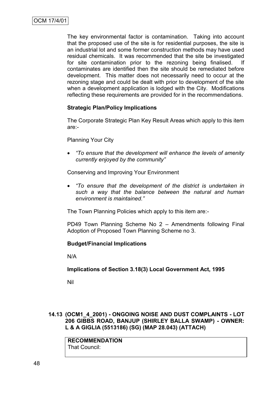The key environmental factor is contamination. Taking into account that the proposed use of the site is for residential purposes, the site is an industrial lot and some former construction methods may have used residual chemicals. It was recommended that the site be investigated for site contamination prior to the rezoning being finalised. If contaminates are identified then the site should be remediated before development. This matter does not necessarily need to occur at the rezoning stage and could be dealt with prior to development of the site when a development application is lodged with the City. Modifications reflecting these requirements are provided for in the recommendations.

## **Strategic Plan/Policy Implications**

The Corporate Strategic Plan Key Result Areas which apply to this item are:-

Planning Your City

 *"To ensure that the development will enhance the levels of amenity currently enjoyed by the community"*

Conserving and Improving Your Environment

 *"To ensure that the development of the district is undertaken in such a way that the balance between the natural and human environment is maintained."*

The Town Planning Policies which apply to this item are:-

PD49 Town Planning Scheme No 2 – Amendments following Final Adoption of Proposed Town Planning Scheme no 3.

#### **Budget/Financial Implications**

N/A

**Implications of Section 3.18(3) Local Government Act, 1995**

Nil

**14.13 (OCM1\_4\_2001) - ONGOING NOISE AND DUST COMPLAINTS - LOT 206 GIBBS ROAD, BANJUP (SHIRLEY BALLA SWAMP) - OWNER: L & A GIGLIA (5513186) (SG) (MAP 28.043) (ATTACH)**

**RECOMMENDATION** That Council: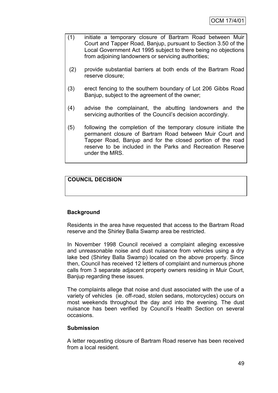- (1) initiate a temporary closure of Bartram Road between Muir Court and Tapper Road, Banjup, pursuant to Section 3.50 of the Local Government Act 1995 subject to there being no objections from adjoining landowners or servicing authorities;
- (2) provide substantial barriers at both ends of the Bartram Road reserve closure;
- (3) erect fencing to the southern boundary of Lot 206 Gibbs Road Banjup, subject to the agreement of the owner;
- (4) advise the complainant, the abutting landowners and the servicing authorities of the Council's decision accordingly.
- (5) following the completion of the temporary closure initiate the permanent closure of Bartram Road between Muir Court and Tapper Road, Banjup and for the closed portion of the road reserve to be included in the Parks and Recreation Reserve under the MRS.

## **COUNCIL DECISION**

## **Background**

Residents in the area have requested that access to the Bartram Road reserve and the Shirley Balla Swamp area be restricted.

In November 1998 Council received a complaint alleging excessive and unreasonable noise and dust nuisance from vehicles using a dry lake bed (Shirley Balla Swamp) located on the above property. Since then, Council has received 12 letters of complaint and numerous phone calls from 3 separate adjacent property owners residing in Muir Court, Banjup regarding these issues.

The complaints allege that noise and dust associated with the use of a variety of vehicles (ie. off-road, stolen sedans, motorcycles) occurs on most weekends throughout the day and into the evening. The dust nuisance has been verified by Council"s Health Section on several occasions.

#### **Submission**

A letter requesting closure of Bartram Road reserve has been received from a local resident.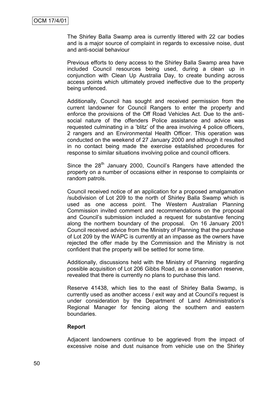The Shirley Balla Swamp area is currently littered with 22 car bodies and is a major source of complaint in regards to excessive noise, dust and anti-social behaviour

Previous efforts to deny access to the Shirley Balla Swamp area have included Council resources being used, during a clean up in conjunction with Clean Up Australia Day, to create bunding across access points which ultimately proved ineffective due to the property being unfenced.

Additionally, Council has sought and received permission from the current landowner for Council Rangers to enter the property and enforce the provisions of the Off Road Vehicles Act. Due to the antisocial nature of the offenders Police assistance and advice was requested culminating in a "blitz" of the area involving 4 police officers, 2 rangers and an Environmental Health Officer. This operation was conducted on the weekend of 27 January 2000 and although it resulted in no contact being made the exercise established procedures for response to similar situations involving police and council officers.

Since the 28<sup>th</sup> January 2000, Council's Rangers have attended the property on a number of occasions either in response to complaints or random patrols.

Council received notice of an application for a proposed amalgamation /subdivision of Lot 209 to the north of Shirley Balla Swamp which is used as one access point. The Western Australian Planning Commission invited comment and recommendations on the proposal and Council"s submission included a request for substantive fencing along the northern boundary of the proposal. On 16 January 2001 Council received advice from the Ministry of Planning that the purchase of Lot 209 by the WAPC is currently at an impasse as the owners have rejected the offer made by the Commission and the Ministry is not confident that the property will be settled for some time.

Additionally, discussions held with the Ministry of Planning regarding possible acquisition of Lot 206 Gibbs Road, as a conservation reserve, revealed that there is currently no plans to purchase this land.

Reserve 41438, which lies to the east of Shirley Balla Swamp, is currently used as another access / exit way and at Council"s request is under consideration by the Department of Land Administration"s Regional Manager for fencing along the southern and eastern boundaries.

#### **Report**

Adjacent landowners continue to be aggrieved from the impact of excessive noise and dust nuisance from vehicle use on the Shirley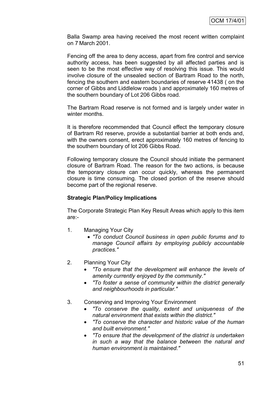Balla Swamp area having received the most recent written complaint on 7 March 2001.

Fencing off the area to deny access, apart from fire control and service authority access, has been suggested by all affected parties and is seen to be the most effective way of resolving this issue. This would involve closure of the unsealed section of Bartram Road to the north, fencing the southern and eastern boundaries of reserve 41438 ( on the corner of Gibbs and Liddlelow roads ) and approximately 160 metres of the southern boundary of Lot 206 Gibbs road.

The Bartram Road reserve is not formed and is largely under water in winter months.

It is therefore recommended that Council effect the temporary closure of Bartram Rd reserve, provide a substantial barrier at both ends and, with the owners consent, erect approximately 160 metres of fencing to the southern boundary of lot 206 Gibbs Road.

Following temporary closure the Council should initiate the permanent closure of Bartram Road. The reason for the two actions, is because the temporary closure can occur quickly, whereas the permanent closure is time consuming. The closed portion of the reserve should become part of the regional reserve.

#### **Strategic Plan/Policy Implications**

The Corporate Strategic Plan Key Result Areas which apply to this item are:-

- 1. Managing Your City
	- *"To conduct Council business in open public forums and to manage Council affairs by employing publicly accountable practices."*
- 2. Planning Your City
	- *"To ensure that the development will enhance the levels of amenity currently enjoyed by the community."*
	- *"To foster a sense of community within the district generally and neighbourhoods in particular."*
- 3. Conserving and Improving Your Environment
	- *"To conserve the quality, extent and uniqueness of the natural environment that exists within the district."*
	- *"To conserve the character and historic value of the human and built environment."*
	- *"To ensure that the development of the district is undertaken in such a way that the balance between the natural and human environment is maintained."*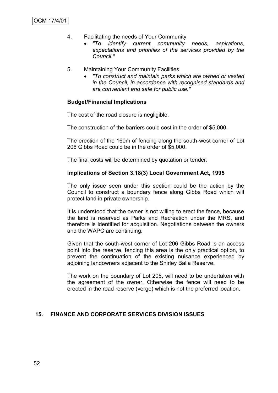- 4. Facilitating the needs of Your Community
	- *"To identify current community needs, aspirations, expectations and priorities of the services provided by the Council."*
- 5. Maintaining Your Community Facilities
	- *"To construct and maintain parks which are owned or vested in the Council, in accordance with recognised standards and are convenient and safe for public use."*

#### **Budget/Financial Implications**

The cost of the road closure is negligible.

The construction of the barriers could cost in the order of \$5,000.

The erection of the 160m of fencing along the south-west corner of Lot 206 Gibbs Road could be in the order of \$5,000.

The final costs will be determined by quotation or tender.

#### **Implications of Section 3.18(3) Local Government Act, 1995**

The only issue seen under this section could be the action by the Council to construct a boundary fence along Gibbs Road which will protect land in private ownership.

It is understood that the owner is not willing to erect the fence, because the land is reserved as Parks and Recreation under the MRS, and therefore is identified for acquisition. Negotiations between the owners and the WAPC are continuing.

Given that the south-west corner of Lot 206 Gibbs Road is an access point into the reserve, fencing this area is the only practical option, to prevent the continuation of the existing nuisance experienced by adjoining landowners adjacent to the Shirley Balla Reserve.

The work on the boundary of Lot 206, will need to be undertaken with the agreement of the owner. Otherwise the fence will need to be erected in the road reserve (verge) which is not the preferred location.

## **15. FINANCE AND CORPORATE SERVICES DIVISION ISSUES**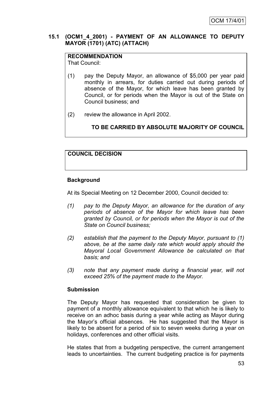## **15.1 (OCM1\_4\_2001) - PAYMENT OF AN ALLOWANCE TO DEPUTY MAYOR (1701) (ATC) (ATTACH)**

# **RECOMMENDATION**

That Council:

- (1) pay the Deputy Mayor, an allowance of \$5,000 per year paid monthly in arrears, for duties carried out during periods of absence of the Mayor, for which leave has been granted by Council, or for periods when the Mayor is out of the State on Council business; and
- (2) review the allowance in April 2002.

**TO BE CARRIED BY ABSOLUTE MAJORITY OF COUNCIL**

## **COUNCIL DECISION**

## **Background**

At its Special Meeting on 12 December 2000, Council decided to:

- *(1) pay to the Deputy Mayor, an allowance for the duration of any periods of absence of the Mayor for which leave has been granted by Council, or for periods when the Mayor is out of the State on Council business;*
- *(2) establish that the payment to the Deputy Mayor, pursuant to (1) above, be at the same daily rate which would apply should the Mayoral Local Government Allowance be calculated on that basis; and*
- *(3) note that any payment made during a financial year, will not exceed 25% of the payment made to the Mayor.*

## **Submission**

The Deputy Mayor has requested that consideration be given to payment of a monthly allowance equivalent to that which he is likely to receive on an adhoc basis during a year while acting as Mayor during the Mayor"s official absences. He has suggested that the Mayor is likely to be absent for a period of six to seven weeks during a year on holidays, conferences and other official visits.

He states that from a budgeting perspective, the current arrangement leads to uncertainties. The current budgeting practice is for payments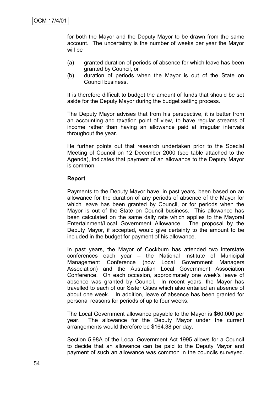for both the Mayor and the Deputy Mayor to be drawn from the same account. The uncertainty is the number of weeks per year the Mayor will be

- (a) granted duration of periods of absence for which leave has been granted by Council, or
- (b) duration of periods when the Mayor is out of the State on Council business.

It is therefore difficult to budget the amount of funds that should be set aside for the Deputy Mayor during the budget setting process.

The Deputy Mayor advises that from his perspective, it is better from an accounting and taxation point of view, to have regular streams of income rather than having an allowance paid at irregular intervals throughout the year.

He further points out that research undertaken prior to the Special Meeting of Council on 12 December 2000 (see table attached to the Agenda), indicates that payment of an allowance to the Deputy Mayor is common.

#### **Report**

Payments to the Deputy Mayor have, in past years, been based on an allowance for the duration of any periods of absence of the Mayor for which leave has been granted by Council, or for periods when the Mayor is out of the State on Council business. This allowance has been calculated on the same daily rate which applies to the Mayoral Entertainment/Local Government Allowance. The proposal by the Deputy Mayor, if accepted, would give certainty to the amount to be included in the budget for payment of his allowance.

In past years, the Mayor of Cockburn has attended two interstate conferences each year – the National Institute of Municipal Management Conference (now Local Government Managers Association) and the Australian Local Government Association Conference. On each occasion, approximately one week"s leave of absence was granted by Council. In recent years, the Mayor has travelled to each of our Sister Cities which also entailed an absence of about one week. In addition, leave of absence has been granted for personal reasons for periods of up to four weeks.

The Local Government allowance payable to the Mayor is \$60,000 per year. The allowance for the Deputy Mayor under the current arrangements would therefore be \$164.38 per day.

Section 5.98A of the Local Government Act 1995 allows for a Council to decide that an allowance can be paid to the Deputy Mayor and payment of such an allowance was common in the councils surveyed.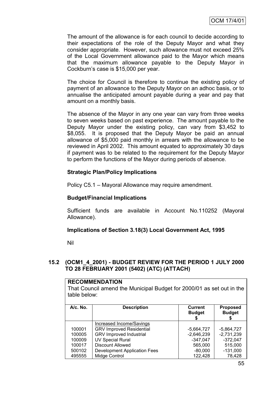The amount of the allowance is for each council to decide according to their expectations of the role of the Deputy Mayor and what they consider appropriate. However, such allowance must not exceed 25% of the Local Government allowance paid to the Mayor which means that the maximum allowance payable to the Deputy Mayor in Cockburn"s case is \$15,000 per year.

The choice for Council is therefore to continue the existing policy of payment of an allowance to the Deputy Mayor on an adhoc basis, or to annualise the anticipated amount payable during a year and pay that amount on a monthly basis.

The absence of the Mayor in any one year can vary from three weeks to seven weeks based on past experience. The amount payable to the Deputy Mayor under the existing policy, can vary from \$3,452 to \$8,055. It is proposed that the Deputy Mayor be paid an annual allowance of \$5,000 paid monthly in arrears with the allowance to be reviewed in April 2002. This amount equated to approximately 30 days if payment was to be related to the requirement for the Deputy Mayor to perform the functions of the Mayor during periods of absence.

## **Strategic Plan/Policy Implications**

Policy C5.1 – Mayoral Allowance may require amendment.

#### **Budget/Financial Implications**

Sufficient funds are available in Account No.110252 (Mayoral Allowance).

#### **Implications of Section 3.18(3) Local Government Act, 1995**

Nil

#### **15.2 (OCM1\_4\_2001) - BUDGET REVIEW FOR THE PERIOD 1 JULY 2000 TO 28 FEBRUARY 2001 (5402) (ATC) (ATTACH)**

| <b>RECOMMENDATION</b>                                                 |                                     |                |                 |
|-----------------------------------------------------------------------|-------------------------------------|----------------|-----------------|
| That Council amend the Municipal Budget for 2000/01 as set out in the |                                     |                |                 |
|                                                                       |                                     |                |                 |
| table below:                                                          |                                     |                |                 |
|                                                                       |                                     |                |                 |
| $A/c.$ No.                                                            | <b>Description</b>                  | <b>Current</b> | <b>Proposed</b> |
|                                                                       |                                     | <b>Budget</b>  | <b>Budget</b>   |
|                                                                       |                                     | \$             | 5               |
|                                                                       | Increased Income/Savings            |                |                 |
| 100001                                                                | <b>GRV Improved Residential</b>     | $-5,664,727$   | $-5.864.727$    |
| 100005                                                                | <b>GRV Improved Industrial</b>      | $-2,646,239$   | $-2,731,239$    |
| 100009                                                                | <b>UV Special Rural</b>             | $-347.047$     | $-372.047$      |
| 100017                                                                | Discount Allowed                    | 565,000        | 515,000         |
| 500102                                                                | <b>Development Application Fees</b> | $-80,000$      | $-131,000$      |
| 495555                                                                | Midge Control                       | 122,428        | 78.428          |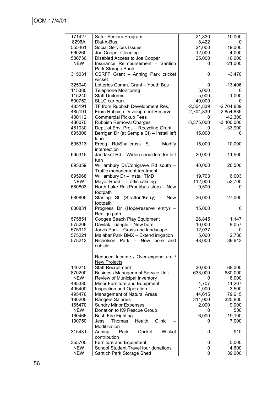| 171427               | Safer Seniors Program                                                          | 21,330       | 10,000          |
|----------------------|--------------------------------------------------------------------------------|--------------|-----------------|
| 8296A                | Dial-A-Bus                                                                     | 8,422        | 0               |
| 555461               | <b>Social Services Issues</b>                                                  | 24,000       | 19,000          |
| 560260               | Joe Cooper Cleaning                                                            | 12,000       | 4,000           |
| 580736               | Disabled Access to Joe Cooper                                                  | 25,000       | 10,000          |
| <b>NEW</b>           | Insurance Reimbursement - Santich                                              | 0            | $-21,000$       |
|                      | Park Storage Shed                                                              |              |                 |
| 315031               | CSRFF Grant - Anning Park cricket                                              | 0            | $-3,470$        |
|                      | wicket                                                                         |              |                 |
| 325040               | Lotteries Comm. Grant - Youth Bus                                              | 0            | $-13,406$       |
| 115380               | <b>Telephone Monitoring</b>                                                    | 5,000        | 0               |
| 115240               | <b>Staff Uniforms</b>                                                          | 5,000        | 1,000           |
| 590752               | SLLC car park                                                                  | 40,000       | 0               |
| 485191               | TF from Rubbish Development Res.                                               | $-2,504,839$ | $-2,704,839$    |
| 485191               | From Rubbish Development Reserve                                               | $-2,704,839$ | $-2,854,839$    |
| 480112               | <b>Commercial Pickup Fees</b>                                                  | 0            | $-42,300$       |
| 480070               | <b>Rubbish Removal Charges</b>                                                 | $-3,375,000$ | $-3,400,000$    |
| 481030               | Dept. of Env. Prot. - Recycling Grant                                          | 0            | $-33,900$       |
| 695306               | Berrigan Dr (at Semple Ct) - Install left<br>lane                              | 15,000       | 0               |
| 695313               | Rd/Shallcross St -<br>Modify<br>Erceg<br>intersection                          | 15,000       | 10,000          |
| 695315               | Jandakot Rd - Widen shoulders for left<br>turn                                 | 20,000       | 11,500          |
| 695359               | Williambury Dr/Conigrave Rd south -                                            | 40,000       | 20,500          |
| 695968               | Traffic management treatment                                                   |              |                 |
| <b>NEW</b>           | Williambury Dr - Install TMD                                                   | 19,703       | 6,003           |
| 680803               | Mayor Road - Traffic calming                                                   | 112,000      | 53,700<br>0     |
|                      | North Lake Rd (Prout/bus stop) - New<br>footpath                               | 9,500        |                 |
| 680805               | Starling<br>St (Stratton/Kerry)<br>New<br>$\overline{\phantom{m}}$<br>footpath | 36,000       | 27,000          |
| 680831               | Progress Dr (Hope/reserve entry) -<br>Realign path                             | 15,000       | 0               |
| 575851               | Coogee Beach Play Equipment                                                    | 26,845       | 1,147           |
| 575206               | Davilak Triangle - New bore                                                    | 10,000       | 8,057           |
| 575912               | Jarvis Park - Grass and landscape                                              | 12,037       | 0               |
| 575221               | Malabar Park BMX - Extend irrigation                                           | 5,000        | 2,786           |
| 575212               | Nicholson Park - New<br>bore<br>and                                            | 48,000       | 39,643          |
|                      | cubicle                                                                        |              |                 |
|                      | Reduced Income / Over-expenditure /                                            |              |                 |
|                      | <b>New Projects</b>                                                            |              |                 |
| 140240               | <b>Staff Recruitment</b>                                                       | 30,000       | 68,000          |
| 870200               | <b>Business Management Service Unit</b>                                        | 633,000      | 680,000         |
| NEW                  | Review of Municipal Inventory                                                  | 0            | 6,000           |
| 495330               | Minor Furniture and Equipment                                                  | 4,707        | 11,207          |
| 495400               | Inspection and Operation                                                       | 1,000        | 3,500           |
| 495476               | Management of Natural Areas                                                    | 44,615       | 79,615          |
| 180200               | Rangers Salaries                                                               | 311,000      | 325,800         |
| 165470               | <b>Sundry Minor Expenses</b>                                                   | 2,000        | 9,000           |
| <b>NEW</b>           | Donation to K9 Rescue Group                                                    | 0            | 500             |
| 160466               | <b>Bush Fire Fighting</b>                                                      | 6,000        | 19,100          |
| 190750               | Clinic<br>Health<br>Thomas<br>Jess                                             | 0            | 7,000           |
|                      | Modification                                                                   |              |                 |
| 315431               | Wicket<br>Cricket<br>Anning<br>Park                                            | 0            | 910             |
|                      | contribution                                                                   |              |                 |
| 355700<br><b>NEW</b> | <b>Furniture and Equipment</b><br>School Student Travel tour donations         | 0<br>0       | 5,000           |
| <b>NEW</b>           | Santich Park Storage Shed                                                      | 0            | 4,600<br>39,000 |
|                      |                                                                                |              |                 |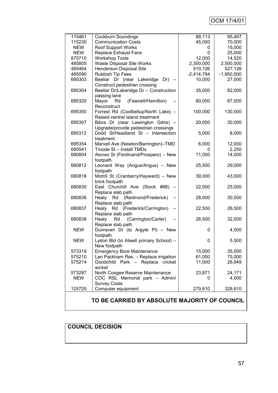# OCM 17/4/01

| 115461                                        | Cockburn Soundings                                                       | 89,113       | 95,467       |
|-----------------------------------------------|--------------------------------------------------------------------------|--------------|--------------|
| 115230                                        | <b>Communication Costs</b>                                               | 45,000       | 70,000       |
| <b>NEW</b>                                    | <b>Roof Support Works</b>                                                | 0            | 15,000       |
| <b>NEW</b>                                    | Replace Exhaust Fans                                                     | 0            | 25,000       |
| 875710                                        | <b>Workshop Tools</b>                                                    | 12,000       | 14,520       |
| 485805                                        | Waste Disposal Site Works                                                | 2,300,000    | 2,500,000    |
| 485464                                        | <b>Henderson Disposal Site</b>                                           | 510,126      | 527,126      |
| 485090                                        | Rubbish Tip Fees                                                         | $-2,414,794$ | $-1,950,000$ |
| 695303                                        | Beeliar Dr (near Lakeridge Dr) -<br>Construct pedestrian crossing        | 10,000       | 27,000       |
| 695304                                        | Beeliar Dr/Lakeridge Dr - Construction<br>passing lane                   | 35,000       | 82,000       |
| 695320                                        | (Fawcett/Hamilton)<br>Mayor<br>Rd<br>Reconstruct                         | 60,000       | 67,000       |
| 695350                                        | Forrest Rd (Coolbellup/North Lake) -<br>Raised central island treatment  | 100,000      | 130,000      |
| 695307                                        | Bibra Dr (near Lewington Gdns) -<br>Upgrade/provide pedestrian crossings | 20,000       | 30,000       |
| 695312                                        | Dodd St/Headland St - Intersection<br>treatment                          | 5,000        | 8,000        |
| 695354                                        | Marvell Ave (Newton/Barrington)-TMD                                      | 6,000        | 12,000       |
| 695541                                        | Troode St - Install TMDs                                                 | 0            | 2,250        |
| 680804                                        | Alonso St (Ferdinand/Prospero) - New<br>footpath                         | 11,000       | 14,000       |
| 680812                                        | Leonard Way (Angus/Angus) - New<br>footpath                              | 25,500       | 29,000       |
| 680818                                        | Motrill St (Cranberry/Hayward) - New<br>brick footpath                   | 39,000       | 43,000       |
| 680830                                        | East Churchill Ave (Stock #88)<br>Replace slab path                      | 22,000       | 25,000       |
| 680836                                        | Healy Rd (Redmond/Frederick)<br>Replace slab path                        | 28,000       | 30,500       |
| 680837                                        | Healy Rd (Frederick/Carrington)<br>Replace slab path                     | 22,500       | 26,500       |
| 680838                                        | (Carrington/Carter)<br>Healy<br>Rd<br>Replace slab path                  | 26,500       | 32,000       |
| <b>NEW</b>                                    | Dunraven Dr (to Argyle PI) - New<br>footpath                             | 0            | 4,500        |
| <b>NEW</b>                                    | Lydon Bld (to Atwell primary School) -<br>New footpath                   | 0            | 5,500        |
| 573319                                        | <b>Emergency Bore Maintenance</b>                                        | 15,000       | 35,000       |
| 575210                                        | Len Packham Res. - Replace irrigation                                    | 61,000       | 75,000       |
| 575214                                        | Goodchild Park - Replace cricket<br>wicket                               | 11,000       | 26,949       |
| 573287                                        | North Coogee Reserve Maintenance                                         | 23,871       | 24,171       |
| <b>NEW</b>                                    | COC RSL Memorial park - Admin/                                           | 0            | 4,000        |
|                                               | <b>Survey Costs</b>                                                      |              |              |
| 125720                                        | Computer equipment                                                       | 279,610      | 329,610      |
| TO BE CARRIED BY ABSOLUTE MAJORITY OF COUNCIL |                                                                          |              |              |

# **COUNCIL DECISION**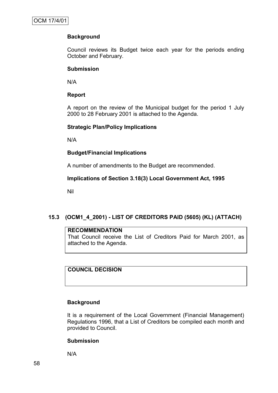## **Background**

Council reviews its Budget twice each year for the periods ending October and February.

#### **Submission**

N/A

## **Report**

A report on the review of the Municipal budget for the period 1 July 2000 to 28 February 2001 is attached to the Agenda.

## **Strategic Plan/Policy Implications**

N/A

## **Budget/Financial Implications**

A number of amendments to the Budget are recommended.

## **Implications of Section 3.18(3) Local Government Act, 1995**

Nil

## **15.3 (OCM1\_4\_2001) - LIST OF CREDITORS PAID (5605) (KL) (ATTACH)**

#### **RECOMMENDATION**

That Council receive the List of Creditors Paid for March 2001, as attached to the Agenda.

**COUNCIL DECISION**

#### **Background**

It is a requirement of the Local Government (Financial Management) Regulations 1996, that a List of Creditors be compiled each month and provided to Council.

#### **Submission**

N/A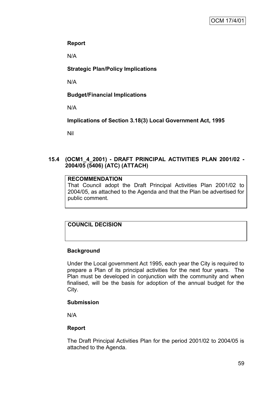## **Report**

N/A

## **Strategic Plan/Policy Implications**

N/A

## **Budget/Financial Implications**

N/A

**Implications of Section 3.18(3) Local Government Act, 1995**

Nil

## **15.4 (OCM1\_4\_2001) - DRAFT PRINCIPAL ACTIVITIES PLAN 2001/02 - 2004/05 (5406) (ATC) (ATTACH)**

## **RECOMMENDATION**

That Council adopt the Draft Principal Activities Plan 2001/02 to 2004/05, as attached to the Agenda and that the Plan be advertised for public comment.

# **COUNCIL DECISION**

## **Background**

Under the Local government Act 1995, each year the City is required to prepare a Plan of its principal activities for the next four years. The Plan must be developed in conjunction with the community and when finalised, will be the basis for adoption of the annual budget for the City.

## **Submission**

N/A

## **Report**

The Draft Principal Activities Plan for the period 2001/02 to 2004/05 is attached to the Agenda.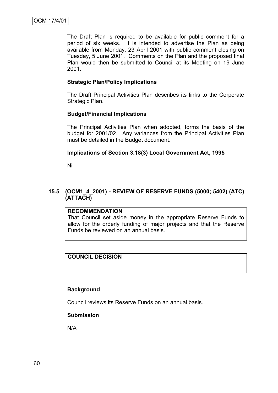The Draft Plan is required to be available for public comment for a period of six weeks. It is intended to advertise the Plan as being available from Monday, 23 April 2001 with public comment closing on Tuesday, 5 June 2001. Comments on the Plan and the proposed final Plan would then be submitted to Council at its Meeting on 19 June 2001.

#### **Strategic Plan/Policy Implications**

The Draft Principal Activities Plan describes its links to the Corporate Strategic Plan.

#### **Budget/Financial Implications**

The Principal Activities Plan when adopted, forms the basis of the budget for 2001/02. Any variances from the Principal Activities Plan must be detailed in the Budget document.

## **Implications of Section 3.18(3) Local Government Act, 1995**

Nil

## **15.5 (OCM1\_4\_2001) - REVIEW OF RESERVE FUNDS (5000; 5402) (ATC) (ATTACH)**

#### **RECOMMENDATION**

That Council set aside money in the appropriate Reserve Funds to allow for the orderly funding of major projects and that the Reserve Funds be reviewed on an annual basis.

## **COUNCIL DECISION**

#### **Background**

Council reviews its Reserve Funds on an annual basis.

#### **Submission**

N/A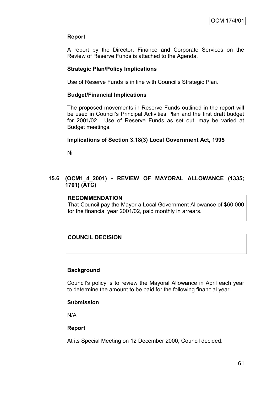## **Report**

A report by the Director, Finance and Corporate Services on the Review of Reserve Funds is attached to the Agenda.

#### **Strategic Plan/Policy Implications**

Use of Reserve Funds is in line with Council"s Strategic Plan.

#### **Budget/Financial Implications**

The proposed movements in Reserve Funds outlined in the report will be used in Council"s Principal Activities Plan and the first draft budget for 2001/02. Use of Reserve Funds as set out, may be varied at Budget meetings.

#### **Implications of Section 3.18(3) Local Government Act, 1995**

Nil

#### **15.6 (OCM1\_4\_2001) - REVIEW OF MAYORAL ALLOWANCE (1335; 1701) (ATC)**

#### **RECOMMENDATION**

That Council pay the Mayor a Local Government Allowance of \$60,000 for the financial year 2001/02, paid monthly in arrears.

## **COUNCIL DECISION**

#### **Background**

Council"s policy is to review the Mayoral Allowance in April each year to determine the amount to be paid for the following financial year.

#### **Submission**

N/A

#### **Report**

At its Special Meeting on 12 December 2000, Council decided: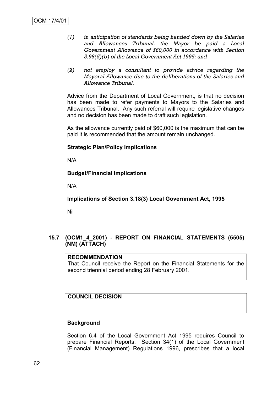- *(1) in anticipation of standards being handed down by the Salaries and Allowances Tribunal, the Mayor be paid a Local Government Allowance of \$60,000 in accordance with Section 5.98(5)(b) of the Local Government Act 1995; and*
- *(2) not employ a consultant to provide advice regarding the Mayoral Allowance due to the deliberations of the Salaries and Allowance Tribunal.*

Advice from the Department of Local Government, is that no decision has been made to refer payments to Mayors to the Salaries and Allowances Tribunal. Any such referral will require legislative changes and no decision has been made to draft such legislation.

As the allowance currently paid of \$60,000 is the maximum that can be paid it is recommended that the amount remain unchanged.

#### **Strategic Plan/Policy Implications**

N/A

## **Budget/Financial Implications**

N/A

**Implications of Section 3.18(3) Local Government Act, 1995**

Nil

## **15.7 (OCM1\_4\_2001) - REPORT ON FINANCIAL STATEMENTS (5505) (NM) (ATTACH)**

#### **RECOMMENDATION**

That Council receive the Report on the Financial Statements for the second triennial period ending 28 February 2001.

## **COUNCIL DECISION**

#### **Background**

Section 6.4 of the Local Government Act 1995 requires Council to prepare Financial Reports. Section 34(1) of the Local Government (Financial Management) Regulations 1996, prescribes that a local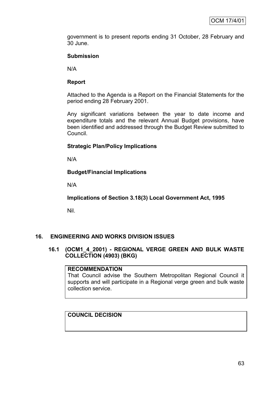government is to present reports ending 31 October, 28 February and 30 June.

## **Submission**

N/A

## **Report**

Attached to the Agenda is a Report on the Financial Statements for the period ending 28 February 2001.

Any significant variations between the year to date income and expenditure totals and the relevant Annual Budget provisions, have been identified and addressed through the Budget Review submitted to Council.

## **Strategic Plan/Policy Implications**

N/A

## **Budget/Financial Implications**

N/A

**Implications of Section 3.18(3) Local Government Act, 1995**

Nil.

## **16. ENGINEERING AND WORKS DIVISION ISSUES**

## **16.1 (OCM1\_4\_2001) - REGIONAL VERGE GREEN AND BULK WASTE COLLECTION (4903) (BKG)**

## **RECOMMENDATION**

That Council advise the Southern Metropolitan Regional Council it supports and will participate in a Regional verge green and bulk waste collection service.

## **COUNCIL DECISION**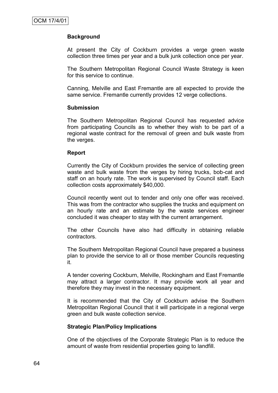## **Background**

At present the City of Cockburn provides a verge green waste collection three times per year and a bulk junk collection once per year.

The Southern Metropolitan Regional Council Waste Strategy is keen for this service to continue.

Canning, Melville and East Fremantle are all expected to provide the same service. Fremantle currently provides 12 verge collections.

#### **Submission**

The Southern Metropolitan Regional Council has requested advice from participating Councils as to whether they wish to be part of a regional waste contract for the removal of green and bulk waste from the verges.

#### **Report**

Currently the City of Cockburn provides the service of collecting green waste and bulk waste from the verges by hiring trucks, bob-cat and staff on an hourly rate. The work is supervised by Council staff. Each collection costs approximately \$40,000.

Council recently went out to tender and only one offer was received. This was from the contractor who supplies the trucks and equipment on an hourly rate and an estimate by the waste services engineer concluded it was cheaper to stay with the current arrangement.

The other Councils have also had difficulty in obtaining reliable contractors.

The Southern Metropolitan Regional Council have prepared a business plan to provide the service to all or those member Councils requesting it.

A tender covering Cockburn, Melville, Rockingham and East Fremantle may attract a larger contractor. It may provide work all year and therefore they may invest in the necessary equipment.

It is recommended that the City of Cockburn advise the Southern Metropolitan Regional Council that it will participate in a regional verge green and bulk waste collection service.

#### **Strategic Plan/Policy Implications**

One of the objectives of the Corporate Strategic Plan is to reduce the amount of waste from residential properties going to landfill.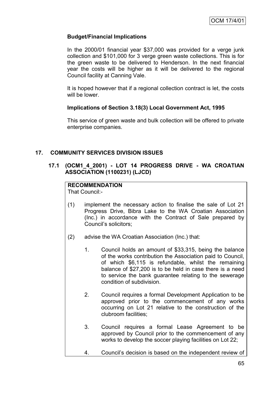## **Budget/Financial Implications**

In the 2000/01 financial year \$37,000 was provided for a verge junk collection and \$101,000 for 3 verge green waste collections. This is for the green waste to be delivered to Henderson. In the next financial year the costs will be higher as it will be delivered to the regional Council facility at Canning Vale.

It is hoped however that if a regional collection contract is let, the costs will be lower

## **Implications of Section 3.18(3) Local Government Act, 1995**

This service of green waste and bulk collection will be offered to private enterprise companies.

## **17. COMMUNITY SERVICES DIVISION ISSUES**

## **17.1 (OCM1\_4\_2001) - LOT 14 PROGRESS DRIVE - WA CROATIAN ASSOCIATION (1100231) (LJCD)**

## **RECOMMENDATION**

That Council:-

- (1) implement the necessary action to finalise the sale of Lot 21 Progress Drive, Bibra Lake to the WA Croatian Association (Inc.) in accordance with the Contract of Sale prepared by Council"s solicitors;
- (2) advise the WA Croatian Association (Inc.) that:
	- 1. Council holds an amount of \$33,315, being the balance of the works contribution the Association paid to Council, of which \$6,115 is refundable, whilst the remaining balance of \$27,200 is to be held in case there is a need to service the bank guarantee relating to the sewerage condition of subdivision.
	- 2. Council requires a formal Development Application to be approved prior to the commencement of any works occurring on Lot 21 relative to the construction of the clubroom facilities;
	- 3. Council requires a formal Lease Agreement to be approved by Council prior to the commencement of any works to develop the soccer playing facilities on Lot 22;
	- 4. Council"s decision is based on the independent review of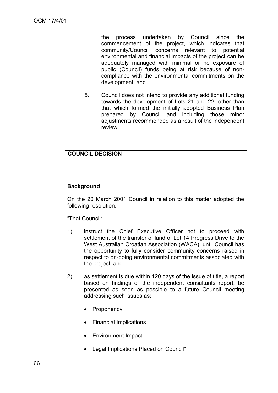the process undertaken by Council since the commencement of the project, which indicates that community/Council concerns relevant to potential concerns relevant to potential environmental and financial impacts of the project can be adequately managed with minimal or no exposure of public (Council) funds being at risk because of noncompliance with the environmental commitments on the development; and 5. Council does not intend to provide any additional funding towards the development of Lots 21 and 22, other than that which formed the initially adopted Business Plan prepared by Council and including those minor adjustments recommended as a result of the independent review.

## **COUNCIL DECISION**

## **Background**

On the 20 March 2001 Council in relation to this matter adopted the following resolution.

"That Council:

- 1) instruct the Chief Executive Officer not to proceed with settlement of the transfer of land of Lot 14 Progress Drive to the West Australian Croatian Association (WACA), until Council has the opportunity to fully consider community concerns raised in respect to on-going environmental commitments associated with the project; and
- 2) as settlement is due within 120 days of the issue of title, a report based on findings of the independent consultants report, be presented as soon as possible to a future Council meeting addressing such issues as:
	- **Proponency**
	- Financial Implications
	- Environment Impact
	- Legal Implications Placed on Council"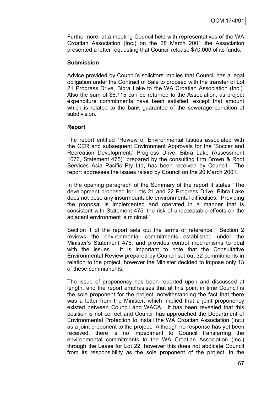Furthermore, at a meeting Council held with representatives of the WA Croatian Association (Inc.) on the 28 March 2001 the Association presented a letter requesting that Council release \$70,000 of its funds.

#### **Submission**

Advice provided by Council"s solicitors implies that Council has a legal obligation under the Contract of Sale to proceed with the transfer of Lot 21 Progress Drive, Bibra Lake to the WA Croatian Association (Inc.). Also the sum of \$6,115 can be returned to the Association, as project expenditure commitments have been satisfied, except that amount which is related to the bank guarantee of the sewerage condition of subdivision.

## **Report**

The report entitled "Review of Environmental Issues associated with the CER and subsequent Environment Approvals for the "Soccer and Recreation Development," Progress Drive, Bibra Lake (Assessment 1076, Statement 475)" prepared by the consulting firm Brown & Root Services Asia Pacific Pty Ltd, has been received by Council. The report addresses the issues raised by Council on the 20 March 2001.

In the opening paragraph of the Summary of the report it states "The development proposed for Lots 21 and 22 Progress Drive, Bibra Lake does not pose any insurmountable environmental difficulties. Providing the proposal is implemented and operated in a manner that is consistent with Statement 475, the risk of unacceptable effects on the adjacent environment is minimal."

Section 1 of the report sets out the terms of reference. Section 2 reviews the environmental commitments established under the Minister"s Statement 475, and provides control mechanisms to deal with the issues. It is important to note that the Consultative Environmental Review prepared by Council set out 32 commitments in relation to the project, however the Minister decided to impose only 13 of these commitments.

The issue of proponency has been reported upon and discussed at length, and the report emphasises that at this point in time Council is the sole proponent for the project, notwithstanding the fact that there was a letter from the Minister, which implied that a joint proponency existed between Council and WACA. It has been revealed that this position is not correct and Council has approached the Department of Environmental Protection to install the WA Croatian Association (Inc.) as a joint proponent to the project. Although no response has yet been received, there is no impediment to Council transferring the environmental commitments to the WA Croatian Association (Inc.) through the Lease for Lot 22, however this does not abdicate Council from its responsibility as the sole proponent of the project, in the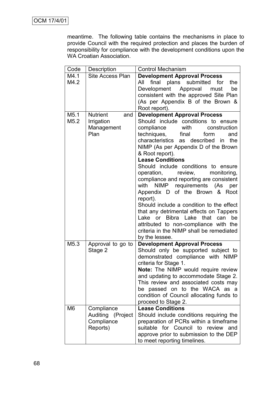meantime. The following table contains the mechanisms in place to provide Council with the required protection and places the burden of responsibility for compliance with the development conditions upon the WA Croatian Association.

| Code             | Description            | <b>Control Mechanism</b>                                                    |  |
|------------------|------------------------|-----------------------------------------------------------------------------|--|
| M4.1             | Site Access Plan       | <b>Development Approval Process</b>                                         |  |
| M4.2             |                        | final<br>plans submitted<br>for<br>All<br>the                               |  |
|                  |                        | Development<br>Approval<br>must<br>be                                       |  |
|                  |                        | consistent with the approved Site Plan                                      |  |
|                  |                        | (As per Appendix B of the Brown &                                           |  |
|                  |                        | Root report).                                                               |  |
| M <sub>5.1</sub> | <b>Nutrient</b><br>and | <b>Development Approval Process</b>                                         |  |
| M5.2             | Irrigation             | Should include conditions to ensure                                         |  |
|                  | Management             | with<br>construction<br>compliance                                          |  |
|                  | Plan                   | techniques,<br>final<br>form<br>and<br>characteristics as described<br>the  |  |
|                  |                        | in.<br>NIMP (As per Appendix D of the Brown                                 |  |
|                  |                        | & Root report).                                                             |  |
|                  |                        | <b>Lease Conditions</b>                                                     |  |
|                  |                        | Should include conditions to ensure                                         |  |
|                  |                        | operation,<br>review,<br>monitoring,                                        |  |
|                  |                        | compliance and reporting are consistent                                     |  |
|                  |                        | NIMP requirements (As<br>with<br>per                                        |  |
|                  |                        | Appendix D of the Brown & Root                                              |  |
|                  |                        | report).                                                                    |  |
|                  |                        | Should include a condition to the effect                                    |  |
|                  |                        | that any detrimental effects on Tappers                                     |  |
|                  |                        | <b>Bibra</b><br>Lake<br>Lake<br>that<br>be<br>or<br>can                     |  |
|                  |                        | attributed to non-compliance with the                                       |  |
|                  |                        | criteria in the NIMP shall be remediated                                    |  |
|                  |                        | by the lessee.                                                              |  |
| M <sub>5.3</sub> | Approval to go to      | <b>Development Approval Process</b>                                         |  |
|                  | Stage 2                | Should only be supported subject to                                         |  |
|                  |                        | demonstrated compliance with NIMP                                           |  |
|                  |                        | criteria for Stage 1.                                                       |  |
|                  |                        | Note: The NIMP would require review<br>and updating to accommodate Stage 2. |  |
|                  |                        | This review and associated costs may                                        |  |
|                  |                        | be passed on to the WACA as a                                               |  |
|                  |                        | condition of Council allocating funds to                                    |  |
|                  |                        | proceed to Stage 2.                                                         |  |
| M <sub>6</sub>   | Compliance             | <b>Lease Conditions</b>                                                     |  |
|                  | Auditing (Project      | Should include conditions requiring the                                     |  |
|                  | Compliance             | preparation of PCRs within a timeframe                                      |  |
|                  | Reports)               | suitable for Council to review<br>and                                       |  |
|                  |                        | approve prior to submission to the DEP                                      |  |
|                  |                        | to meet reporting timelines.                                                |  |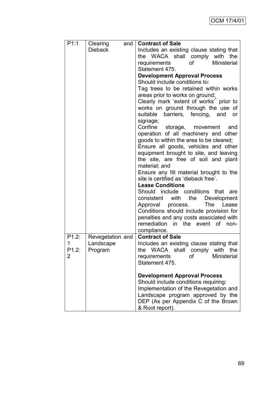| P1:1  | Clearing<br>and  | <b>Contract of Sale</b>                  |
|-------|------------------|------------------------------------------|
|       | <b>Dieback</b>   | Includes an existing clause stating that |
|       |                  | the WACA shall comply with<br>the        |
|       |                  | Ministerial<br>requirements<br>of        |
|       |                  | Statement 475.                           |
|       |                  | <b>Development Approval Process</b>      |
|       |                  | Should include conditions to:            |
|       |                  | Tag trees to be retained within works    |
|       |                  | areas prior to works on ground;          |
|       |                  | Clearly mark 'extent of works' prior to  |
|       |                  | works on ground through the use of       |
|       |                  | suitable barriers, fencing, and<br>or    |
|       |                  | signage;                                 |
|       |                  | Confine<br>storage, movement<br>and      |
|       |                  | operation of all machinery and other     |
|       |                  | goods to within the area to be cleared;  |
|       |                  | Ensure all goods, vehicles and other     |
|       |                  | equipment brought to site, and leaving   |
|       |                  | the site, are free of soil and plant     |
|       |                  | material; and                            |
|       |                  | Ensure any fill material brought to the  |
|       |                  | site is certified as 'dieback free'.     |
|       |                  | <b>Lease Conditions</b>                  |
|       |                  | Should include conditions that<br>are    |
|       |                  | the<br>Development<br>consistent with    |
|       |                  | The Lease<br>Approval process.           |
|       |                  | Conditions should include provision for  |
|       |                  | penalties and any costs associated with  |
|       |                  | remediation in the event of non-         |
|       |                  | compliance.                              |
| P1.2: | Revegetation and | <b>Contract of Sale</b>                  |
| 1     | Landscape        | Includes an existing clause stating that |
| P1.2: | Program          | the WACA shall comply with the           |
| 2     |                  | requirements<br><b>Ministerial</b><br>οf |
|       |                  | Statement 475.                           |
|       |                  | <b>Development Approval Process</b>      |
|       |                  | Should include conditions requiring:     |
|       |                  | Implementation of the Revegetation and   |
|       |                  | Landscape program approved by the        |
|       |                  | DEP (As per Appendix C of the Brown      |
|       |                  | & Root report).                          |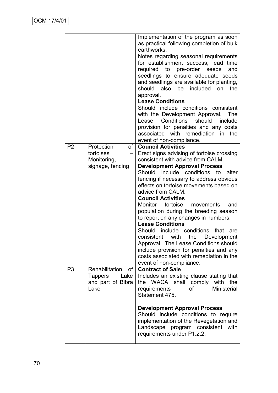|                |                                         | Implementation of the program as soon<br>as practical following completion of bulk<br>earthworks.<br>Notes regarding seasonal requirements<br>for establishment success; lead time<br>required to pre-order seeds<br>and<br>seedlings to ensure adequate seeds<br>and seedlings are available for planting,<br>should also be included on<br>the<br>approval.<br><b>Lease Conditions</b><br>Should include conditions consistent<br>with the Development Approval.<br><b>The</b><br>Conditions<br>should<br>Lease<br>include<br>provision for penalties and any costs<br>associated with remediation in<br>the<br>event of non-compliance. |
|----------------|-----------------------------------------|--------------------------------------------------------------------------------------------------------------------------------------------------------------------------------------------------------------------------------------------------------------------------------------------------------------------------------------------------------------------------------------------------------------------------------------------------------------------------------------------------------------------------------------------------------------------------------------------------------------------------------------------|
| P <sub>2</sub> | Protection                              | of   Council Activities                                                                                                                                                                                                                                                                                                                                                                                                                                                                                                                                                                                                                    |
|                | tortoises<br>$\qquad \qquad -$          | Erect signs advising of tortoise crossing                                                                                                                                                                                                                                                                                                                                                                                                                                                                                                                                                                                                  |
|                | Monitoring,<br>signage, fencing         | consistent with advice from CALM.<br><b>Development Approval Process</b>                                                                                                                                                                                                                                                                                                                                                                                                                                                                                                                                                                   |
|                |                                         | Should include conditions to<br>alter                                                                                                                                                                                                                                                                                                                                                                                                                                                                                                                                                                                                      |
|                |                                         | fencing if necessary to address obvious                                                                                                                                                                                                                                                                                                                                                                                                                                                                                                                                                                                                    |
|                |                                         | effects on tortoise movements based on                                                                                                                                                                                                                                                                                                                                                                                                                                                                                                                                                                                                     |
|                |                                         | advice from CALM.<br><b>Council Activities</b>                                                                                                                                                                                                                                                                                                                                                                                                                                                                                                                                                                                             |
|                |                                         | Monitor tortoise<br>movements<br>and                                                                                                                                                                                                                                                                                                                                                                                                                                                                                                                                                                                                       |
|                |                                         | population during the breeding season<br>to report on any changes in numbers.                                                                                                                                                                                                                                                                                                                                                                                                                                                                                                                                                              |
|                |                                         | <b>Lease Conditions</b>                                                                                                                                                                                                                                                                                                                                                                                                                                                                                                                                                                                                                    |
|                |                                         | Should<br>include conditions<br>that<br>are                                                                                                                                                                                                                                                                                                                                                                                                                                                                                                                                                                                                |
|                |                                         | consistent with<br>the Development                                                                                                                                                                                                                                                                                                                                                                                                                                                                                                                                                                                                         |
|                |                                         | Approval. The Lease Conditions should<br>include provision for penalties and any                                                                                                                                                                                                                                                                                                                                                                                                                                                                                                                                                           |
|                |                                         | costs associated with remediation in the                                                                                                                                                                                                                                                                                                                                                                                                                                                                                                                                                                                                   |
|                |                                         | event of non-compliance.                                                                                                                                                                                                                                                                                                                                                                                                                                                                                                                                                                                                                   |
| P <sub>3</sub> | Rehabilitation<br>of<br>Tappers<br>Lake | <b>Contract of Sale</b><br>Includes an existing clause stating that                                                                                                                                                                                                                                                                                                                                                                                                                                                                                                                                                                        |
|                | and part of Bibra                       | WACA shall comply with<br>the<br>the                                                                                                                                                                                                                                                                                                                                                                                                                                                                                                                                                                                                       |
|                | Lake                                    | <b>Ministerial</b><br><b>of</b><br>requirements                                                                                                                                                                                                                                                                                                                                                                                                                                                                                                                                                                                            |
|                |                                         | Statement 475.                                                                                                                                                                                                                                                                                                                                                                                                                                                                                                                                                                                                                             |
|                |                                         | <b>Development Approval Process</b><br>Should include conditions to require<br>implementation of the Revegetation and<br>Landscape program consistent<br>with<br>requirements under P1.2:2.                                                                                                                                                                                                                                                                                                                                                                                                                                                |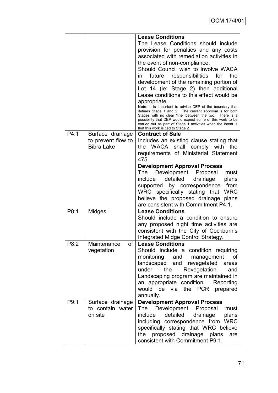|      |                                                 | <b>Lease Conditions</b>                                                                                                                                                                                                                                                                                                                                                                                                                                                                                                                                                                                                                                                                                                                              |
|------|-------------------------------------------------|------------------------------------------------------------------------------------------------------------------------------------------------------------------------------------------------------------------------------------------------------------------------------------------------------------------------------------------------------------------------------------------------------------------------------------------------------------------------------------------------------------------------------------------------------------------------------------------------------------------------------------------------------------------------------------------------------------------------------------------------------|
|      |                                                 | The Lease Conditions should include<br>provision for penalties and any costs<br>associated with remediation activities in<br>the event of non-compliance.<br>Should Council wish to involve WACA<br>the<br>future responsibilities<br>for<br>in.<br>development of the remaining portion of<br>Lot 14 (ie: Stage 2) then additional<br>Lease conditions to this effect would be<br>appropriate.<br>Note: It is important to advise DEP of the boundary that<br>defines Stage 1 and 2. The current approval is for both<br>Stages with no clear 'line' between the two. There is a<br>possibility that DEP would expect some of this work to be<br>carried out as part of Stage 1 activities when the intent is<br>that this work is tied to Stage 2. |
| P4:1 | Surface drainage                                | <b>Contract of Sale</b>                                                                                                                                                                                                                                                                                                                                                                                                                                                                                                                                                                                                                                                                                                                              |
|      | to prevent flow to<br><b>Bibra Lake</b>         | Includes an existing clause stating that<br>the WACA shall comply with the<br>requirements of Ministerial Statement<br>475.                                                                                                                                                                                                                                                                                                                                                                                                                                                                                                                                                                                                                          |
|      |                                                 | <b>Development Approval Process</b><br>The Development Proposal<br>must<br>include<br>detailed<br>drainage<br>plans<br>from<br>supported by correspondence<br>WRC specifically stating that<br><b>WRC</b><br>believe the proposed drainage plans<br>are consistent with Commitment P4:1.                                                                                                                                                                                                                                                                                                                                                                                                                                                             |
| P8:1 | Midges                                          | <b>Lease Conditions</b><br>Should include a condition to ensure<br>any proposed night time activities are<br>consistent with the City of Cockburn's<br>Integrated Midge Control Strategy.                                                                                                                                                                                                                                                                                                                                                                                                                                                                                                                                                            |
| P8:2 | Maintenance<br>Οf<br>vegetation                 | <b>Lease Conditions</b><br>Should include a condition requiring<br>monitoring<br>and management<br>of<br>landscaped and revegetated<br>areas<br>the<br>Revegetation<br>under<br>and<br>Landscaping program are maintained in<br>an appropriate condition.<br>Reporting<br>would be via the PCR<br>prepared<br>annually.                                                                                                                                                                                                                                                                                                                                                                                                                              |
| P9:1 | Surface drainage<br>to contain water<br>on site | <b>Development Approval Process</b><br>Development Proposal<br>The<br>must<br>detailed<br>drainage<br>include<br>plans<br>including correspondence from WRC<br>specifically stating that WRC believe<br>proposed drainage plans<br>the<br>are<br>consistent with Commitment P9:1.                                                                                                                                                                                                                                                                                                                                                                                                                                                                    |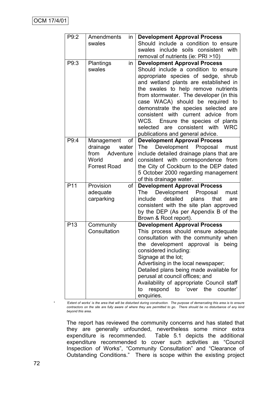| P9:2            | Amendments<br>in       | <b>Development Approval Process</b>                                                 |
|-----------------|------------------------|-------------------------------------------------------------------------------------|
|                 | swales                 | Should include a condition to ensure                                                |
|                 |                        | include soils consistent with<br>swales                                             |
|                 |                        | removal of nutrients (ie: PRI >10)                                                  |
| P9:3            | Plantings<br>in        | <b>Development Approval Process</b>                                                 |
|                 | swales                 | Should include a condition to ensure                                                |
|                 |                        | appropriate species of sedge, shrub                                                 |
|                 |                        | and wetland plants are established in                                               |
|                 |                        | the swales to help remove nutrients                                                 |
|                 |                        | from stormwater. The developer (in this                                             |
|                 |                        | case WACA) should be required to<br>demonstrate the species selected are            |
|                 |                        | consistent with current advice<br>from                                              |
|                 |                        | WCS.<br>Ensure the species of plants                                                |
|                 |                        | are consistent with WRC<br>selected                                                 |
|                 |                        | publications and general advice.                                                    |
| P9:4            | Management<br>οf       | <b>Development Approval Process</b>                                                 |
|                 | drainage<br>water      | Development Proposal<br>The<br>must                                                 |
|                 | Adventure<br>from      | include detailed drainage plans that are                                            |
|                 | World<br>and           | consistent with correspondence from                                                 |
|                 | <b>Forrest Road</b>    | the City of Cockburn to the DEP dated                                               |
|                 |                        | 5 October 2000 regarding management                                                 |
|                 |                        | of this drainage water.                                                             |
| P <sub>11</sub> | Provision<br>of        | <b>Development Approval Process</b>                                                 |
|                 | adequate<br>carparking | Development Proposal<br>The<br>must<br>detailed<br>plans<br>that<br>include<br>are  |
|                 |                        | consistent with the site plan approved                                              |
|                 |                        | by the DEP (As per Appendix B of the                                                |
|                 |                        | Brown & Root report).                                                               |
| P <sub>13</sub> | Community              | <b>Development Approval Process</b>                                                 |
|                 | Consultation           | This process should ensure adequate                                                 |
|                 |                        | consultation with the community when                                                |
|                 |                        | the<br>development approval is<br>being                                             |
|                 |                        | considered including:                                                               |
|                 |                        | Signage at the lot;                                                                 |
|                 |                        | Advertising in the local newspaper;                                                 |
|                 |                        | Detailed plans being made available for                                             |
|                 |                        | perusal at council offices; and                                                     |
|                 |                        | Availability of appropriate Council staff<br>respond to 'over the<br>counter'<br>to |
|                 |                        | enquiries.                                                                          |

*\* "Extent of works" is the area that will be disturbed during construction. The purpose of demarcating this area is to ensure contractors on the site are fully aware of where they are permitted to go. There should be no disturbance of any kind beyond this area.*

The report has reviewed the community concerns and has stated that they are generally unfounded, nevertheless some minor extra expenditure is recommended. Table 5.1 depicts the additional expenditure recommended to cover such activities as "Council Inspection of Works", "Community Consultation" and "Clearance of Outstanding Conditions." There is scope within the existing project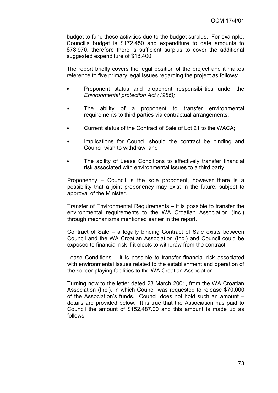budget to fund these activities due to the budget surplus. For example, Council"s budget is \$172,450 and expenditure to date amounts to \$78,970, therefore there is sufficient surplus to cover the additional suggested expenditure of \$18,400.

The report briefly covers the legal position of the project and it makes reference to five primary legal issues regarding the project as follows:

- Proponent status and proponent responsibilities under the *Environmental protection Act (1986);*
- The ability of a proponent to transfer environmental requirements to third parties via contractual arrangements;
- Current status of the Contract of Sale of Lot 21 to the WACA;
- Implications for Council should the contract be binding and Council wish to withdraw; and
- The ability of Lease Conditions to effectively transfer financial risk associated with environmental issues to a third party.

Proponency – Council is the sole proponent, however there is a possibility that a joint proponency may exist in the future, subject to approval of the Minister.

Transfer of Environmental Requirements – it is possible to transfer the environmental requirements to the WA Croatian Association (Inc.) through mechanisms mentioned earlier in the report.

Contract of Sale – a legally binding Contract of Sale exists between Council and the WA Croatian Association (Inc.) and Council could be exposed to financial risk if it elects to withdraw from the contract.

Lease Conditions – it is possible to transfer financial risk associated with environmental issues related to the establishment and operation of the soccer playing facilities to the WA Croatian Association.

Turning now to the letter dated 28 March 2001, from the WA Croatian Association (Inc.), in which Council was requested to release \$70,000 of the Association"s funds. Council does not hold such an amount – details are provided below. It is true that the Association has paid to Council the amount of \$152,487.00 and this amount is made up as follows.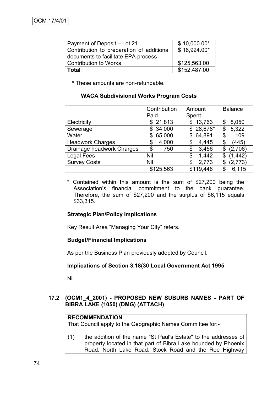| Payment of Deposit – Lot 21               | $$10,000.00*$ |
|-------------------------------------------|---------------|
| Contribution to preparation of additional | \$16,924.00*  |
| documents to facilitate EPA process       |               |
| Contribution to Works                     | \$125,563.00  |
| <b>Total</b>                              | \$152,487.00  |

**\*** These amounts are non-refundable.

#### **WACA Subdivisional Works Program Costs**

|                           | Contribution | Amount       | <b>Balance</b> |
|---------------------------|--------------|--------------|----------------|
|                           | Paid         | Spent        |                |
| Electricity               | \$21,813     | 13,763<br>\$ | 8,050<br>\$    |
| Sewerage                  | 34,000<br>S  | $$28,678$ *  | 5,322<br>\$    |
| Water                     | 65,000<br>S  | 64,891<br>\$ | \$<br>109      |
| <b>Headwork Charges</b>   | 4,000<br>\$  | 4,445<br>\$  | (445)<br>\$    |
| Drainage headwork Charges | 750<br>\$    | 3,456<br>\$  | (2,706)<br>\$  |
| <b>Legal Fees</b>         | Nil          | 1,442<br>\$  | (1, 442)<br>\$ |
| <b>Survey Costs</b>       | Nil          | 2,773<br>\$  | (2,773)<br>\$  |
|                           | \$125,563    | \$119,448    | 6,115<br>\$    |

\* Contained within this amount is the sum of \$27,200 being the Association"s financial commitment to the bank guarantee. Therefore, the sum of \$27,200 and the surplus of \$6,115 equals \$33,315.

#### **Strategic Plan/Policy Implications**

Key Result Area "Managing Your City" refers.

#### **Budget/Financial Implications**

As per the Business Plan previously adopted by Council.

#### **Implications of Section 3.18(30 Local Government Act 1995**

Nil

## **17.2 (OCM1\_4\_2001) - PROPOSED NEW SUBURB NAMES - PART OF BIBRA LAKE (1050) (DMG) (ATTACH)**

#### **RECOMMENDATION**

That Council apply to the Geographic Names Committee for:-

(1) the addition of the name "St Paul's Estate" to the addresses of property located in that part of Bibra Lake bounded by Phoenix Road, North Lake Road, Stock Road and the Roe Highway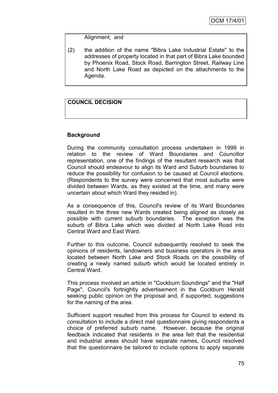Alignment; and

(2) the addition of the name "Bibra Lake Industrial Estate" to the addresses of property located in that part of Bibra Lake bounded by Phoenix Road, Stock Road, Barrington Street, Railway Line and North Lake Road as depicted on the attachments to the Agenda.

## **COUNCIL DECISION**

## **Background**

During the community consultation process undertaken in 1999 in relation to the review of Ward Boundaries and Councillor representation, one of the findings of the resultant research was that Council should endeavour to align its Ward and Suburb boundaries to reduce the possibility for confusion to be caused at Council elections. (Respondents to the survey were concerned that most suburbs were divided between Wards, as they existed at the time, and many were uncertain about which Ward they resided in).

As a consequence of this, Council's review of its Ward Boundaries resulted in the three new Wards created being aligned as closely as possible with current suburb boundaries. The exception was the suburb of Bibra Lake which was divided at North Lake Road into Central Ward and East Ward.

Further to this outcome, Council subsequently resolved to seek the opinions of residents, landowners and business operators in the area located between North Lake and Stock Roads on the possibility of creating a newly named suburb which would be located entirely in Central Ward.

This process involved an article in "Cockburn Soundings" and the "Half Page", Council's fortnightly advertisement in the Cockburn Herald seeking public opinion on the proposal and, if supported, suggestions for the naming of the area.

Sufficient support resulted from this process for Council to extend its consultation to include a direct mail questionnaire giving respondents a choice of preferred suburb name. However, because the original feedback indicated that residents in the area felt that the residential and industrial areas should have separate names, Council resolved that the questionnaire be tailored to include options to apply separate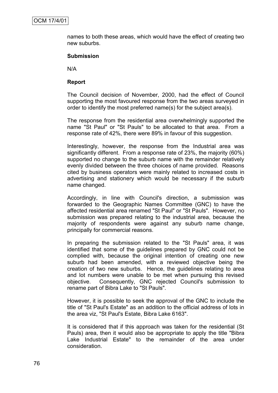names to both these areas, which would have the effect of creating two new suburbs.

#### **Submission**

N/A

#### **Report**

The Council decision of November, 2000, had the effect of Council supporting the most favoured response from the two areas surveyed in order to identify the most preferred name(s) for the subject area(s).

The response from the residential area overwhelmingly supported the name "St Paul" or "St Pauls" to be allocated to that area. From a response rate of 42%, there were 89% in favour of this suggestion.

Interestingly, however, the response from the Industrial area was significantly different. From a response rate of 23%, the majority (60%) supported no change to the suburb name with the remainder relatively evenly divided between the three choices of name provided. Reasons cited by business operators were mainly related to increased costs in advertising and stationery which would be necessary if the suburb name changed.

Accordingly, in line with Council's direction, a submission was forwarded to the Geographic Names Committee (GNC) to have the affected residential area renamed "St Paul" or "St Pauls". However, no submission was prepared relating to the industrial area, because the majority of respondents were against any suburb name change, principally for commercial reasons.

In preparing the submission related to the "St Pauls" area, it was identified that some of the guidelines prepared by GNC could not be complied with, because the original intention of creating one new suburb had been amended, with a reviewed objective being the creation of two new suburbs. Hence, the guidelines relating to area and lot numbers were unable to be met when pursuing this revised objective. Consequently, GNC rejected Council's submission to rename part of Bibra Lake to "St Pauls".

However, it is possible to seek the approval of the GNC to include the title of "St Paul's Estate" as an addition to the official address of lots in the area viz, "St Paul's Estate, Bibra Lake 6163".

It is considered that if this approach was taken for the residential (St Pauls) area, then it would also be appropriate to apply the title "Bibra Lake Industrial Estate" to the remainder of the area under consideration.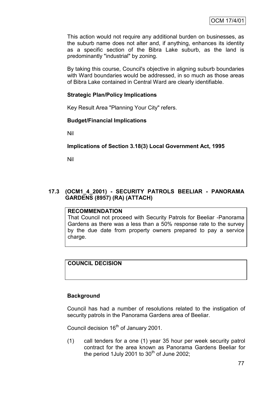This action would not require any additional burden on businesses, as the suburb name does not alter and, if anything, enhances its identity as a specific section of the Bibra Lake suburb, as the land is predominantly "industrial" by zoning.

By taking this course, Council's objective in aligning suburb boundaries with Ward boundaries would be addressed, in so much as those areas of Bibra Lake contained in Central Ward are clearly identifiable.

## **Strategic Plan/Policy Implications**

Key Result Area "Planning Your City" refers.

#### **Budget/Financial Implications**

Nil

#### **Implications of Section 3.18(3) Local Government Act, 1995**

Nil

## **17.3 (OCM1\_4\_2001) - SECURITY PATROLS BEELIAR - PANORAMA GARDENS (8957) (RA) (ATTACH)**

#### **RECOMMENDATION**

That Council not proceed with Security Patrols for Beeliar -Panorama Gardens as there was a less than a 50% response rate to the survey by the due date from property owners prepared to pay a service charge.

#### **COUNCIL DECISION**

#### **Background**

Council has had a number of resolutions related to the instigation of security patrols in the Panorama Gardens area of Beeliar.

Council decision 16<sup>th</sup> of January 2001.

(1) call tenders for a one (1) year 35 hour per week security patrol contract for the area known as Panorama Gardens Beeliar for the period 1July 2001 to  $30<sup>th</sup>$  of June 2002;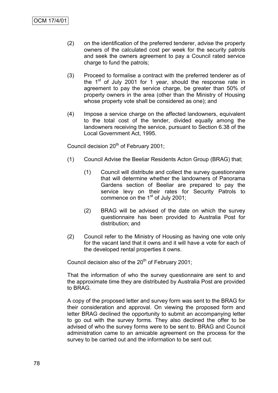- (2) on the identification of the preferred tenderer, advise the property owners of the calculated cost per week for the security patrols and seek the owners agreement to pay a Council rated service charge to fund the patrols;
- (3) Proceed to formalise a contract with the preferred tenderer as of the  $1<sup>st</sup>$  of July 2001 for 1 year, should the response rate in agreement to pay the service charge, be greater than 50% of property owners in the area (other than the Ministry of Housing whose property vote shall be considered as one); and
- (4) Impose a service charge on the affected landowners, equivalent to the total cost of the tender, divided equally among the landowners receiving the service, pursuant to Section 6.38 of the Local Government Act, 1995.

Council decision 20<sup>th</sup> of February 2001;

- (1) Council Advise the Beeliar Residents Acton Group (BRAG) that;
	- (1) Council will distribute and collect the survey questionnaire that will determine whether the landowners of Panorama Gardens section of Beeliar are prepared to pay the service levy on their rates for Security Patrols to commence on the  $1<sup>st</sup>$  of July 2001;
	- (2) BRAG will be advised of the date on which the survey questionnaire has been provided to Australia Post for distribution; and
- (2) Council refer to the Ministry of Housing as having one vote only for the vacant land that it owns and it will have a vote for each of the developed rental properties it owns.

Council decision also of the  $20<sup>th</sup>$  of February 2001;

That the information of who the survey questionnaire are sent to and the approximate time they are distributed by Australia Post are provided to BRAG.

A copy of the proposed letter and survey form was sent to the BRAG for their consideration and approval. On viewing the proposed form and letter BRAG declined the opportunity to submit an accompanying letter to go out with the survey forms. They also declined the offer to be advised of who the survey forms were to be sent to. BRAG and Council administration came to an amicable agreement on the process for the survey to be carried out and the information to be sent out.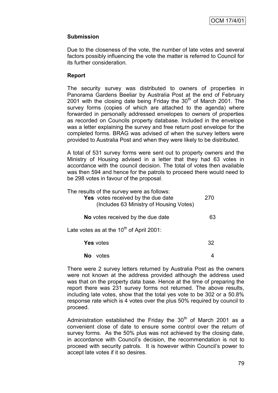## **Submission**

Due to the closeness of the vote, the number of late votes and several factors possibly influencing the vote the matter is referred to Council for its further consideration.

## **Report**

The security survey was distributed to owners of properties in Panorama Gardens Beeliar by Australia Post at the end of February 2001 with the closing date being Friday the  $30<sup>th</sup>$  of March 2001. The survey forms (copies of which are attached to the agenda) where forwarded in personally addressed envelopes to owners of properties as recorded on Councils property database. Included in the envelope was a letter explaining the survey and free return post envelope for the completed forms. BRAG was advised of when the survey letters were provided to Australia Post and when they were likely to be distributed.

A total of 531 survey forms were sent out to property owners and the Ministry of Housing advised in a letter that they had 63 votes in accordance with the council decision. The total of votes then available was then 594 and hence for the patrols to proceed there would need to be 298 votes in favour of the proposal.

| The results of the survey were as follows:<br>Yes votes received by the due date<br>(Includes 63 Ministry of Housing Votes) | 270 |
|-----------------------------------------------------------------------------------------------------------------------------|-----|
| No votes received by the due date                                                                                           | 63  |
| Late votes as at the 10 <sup>th</sup> of April 2001:                                                                        |     |
| <b>Yes</b> votes                                                                                                            | 32  |
| votes                                                                                                                       |     |

There were 2 survey letters returned by Australia Post as the owners were not known at the address provided although the address used was that on the property data base. Hence at the time of preparing the report there was 231 survey forms not returned. The above results, including late votes, show that the total yes vote to be 302 or a 50.8% response rate which is 4 votes over the plus 50% required by council to proceed.

Administration established the Friday the  $30<sup>th</sup>$  of March 2001 as a convenient close of date to ensure some control over the return of survey forms. As the 50% plus was not achieved by the closing date, in accordance with Council"s decision, the recommendation is not to proceed with security patrols. It is however within Council"s power to accept late votes if it so desires.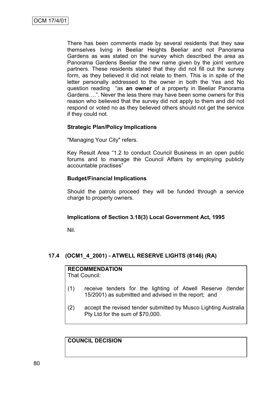There has been comments made by several residents that they saw themselves living in Beeliar Heights Beeliar and not Panorama Gardens as was stated on the survey which described the area as Panorama Gardens Beeliar the new name given by the joint venture partners. These residents stated that they did not fill out the survey form, as they believed it did not relate to them. This is in spite of the letter personally addressed to the owner in both the Yes and No question reading "as **an owner** of a property in Beeliar Panorama Gardens….". Never the less there may have been some owners for this reason who believed that the survey did not apply to them and did not respond or voted no as they believed others should not get the service if they could not.

#### **Strategic Plan/Policy Implications**

"Managing Your City" refers.

Key Result Area "1.2 to conduct Council Business in an open public forums and to manage the Council Affairs by employing publicly accountable practises"

#### **Budget/Financial Implications**

Should the patrols proceed they will be funded through a service charge to property owners.

#### **Implications of Section 3.18(3) Local Government Act, 1995**

Nil.

## **17.4 (OCM1\_4\_2001) - ATWELL RESERVE LIGHTS (8146) (RA)**

# **RECOMMENDATION**

That Council:

- (1) receive tenders for the lighting of Atwell Reserve (tender 15/2001) as submitted and advised in the report; and
- (2) accept the revised tender submitted by Musco Lighting Australia Pty Ltd for the sum of \$70,000.

**COUNCIL DECISION**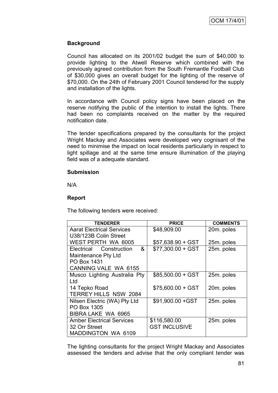## **Background**

Council has allocated on its 2001/02 budget the sum of \$40,000 to provide lighting to the Atwell Reserve which combined with the previously agreed contribution from the South Fremantle Football Club of \$30,000 gives an overall budget for the lighting of the reserve of \$70,000. On the 24th of February 2001 Council tendered for the supply and installation of the lights.

In accordance with Council policy signs have been placed on the reserve notifying the public of the intention to install the lights. There had been no complaints received on the matter by the required notification date.

The tender specifications prepared by the consultants for the project Wright Mackay and Associates were developed very cognisant of the need to minimise the impact on local residents particularly in respect to light spillage and at the same time ensure illumination of the playing field was of a adequate standard.

#### **Submission**

N/A

#### **Report**

The following tenders were received:

| <b>TENDERER</b>                  | <b>PRICE</b>         | <b>COMMENTS</b> |
|----------------------------------|----------------------|-----------------|
| <b>Aarat Electrical Services</b> | \$48,909.00          | 20m. poles      |
| U38/123B Colin Street            |                      |                 |
| WEST PERTH WA 6005               | $$57,638.90 + GST$   | 25m. poles      |
| Electrical Construction<br>&     | $$77,300.00 + GST$   | 25m. poles      |
| Maintenance Pty Ltd              |                      |                 |
| PO Box 1431                      |                      |                 |
| <b>CANNING VALE WA 6155</b>      |                      |                 |
| Musco Lighting Australia Pty     | $$85,500.00 + GST$   | 25m. poles      |
| Ltd                              |                      |                 |
| 14 Tepko Road                    | $$75,600.00 + GST$   | 20m. poles      |
| TERREY HILLS NSW 2084            |                      |                 |
| Nilsen Electric (WA) Pty Ltd     | \$91,900.00 + GST    | 25m. poles      |
| PO Box 1305                      |                      |                 |
| BIBRA LAKE WA 6965               |                      |                 |
| <b>Amber Electrical Services</b> | \$116,580.00         | 25m. poles      |
| 32 Orr Street                    | <b>GST INCLUSIVE</b> |                 |
| <b>MADDINGTON WA 6109</b>        |                      |                 |

The lighting consultants for the project Wright Mackay and Associates assessed the tenders and advise that the only compliant tender was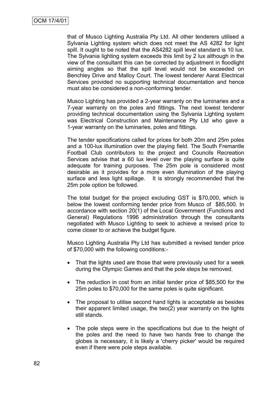that of Musco Lighting Australia Pty Ltd. All other tenderers utilised a Sylvania Lighting system which does not meet the AS 4282 for light spill. It ought to be noted that the AS4282 spill level standard is 10 lux. The Sylvania lighting system exceeds this limit by 2 lux although in the view of the consultant this can be corrected by adjustment in floodlight aiming angles so that the spill level would not be exceeded on Benchley Drive and Malloy Court. The lowest tenderer Aarat Electrical Services provided no supporting technical documentation and hence must also be considered a non-conforming tender.

Musco Lighting has provided a 2-year warranty on the luminaries and a 7-year warranty on the poles and fittings. The next lowest tenderer providing technical documentation using the Sylvania Lighting system was Electrical Construction and Maintenance Pty Ltd who gave a 1-year warranty on the luminaries, poles and fittings.

The tender specifications called for prices for both 20m and 25m poles and a 100-lux illumination over the playing field. The South Fremantle Football Club contributors to the project and Councils Recreation Services advise that a 60 lux level over the playing surface is quite adequate for training purposes. The 25m pole is considered most desirable as it provides for a more even illumination of the playing surface and less light spillage. It is strongly recommended that the 25m pole option be followed.

The total budget for the project excluding GST is \$70,000, which is below the lowest conforming tender price from Musco of \$85,500. In accordance with section 20(1) of the Local Government (Functions and General) Regulations 1996 administration through the consultants negotiated with Musco Lighting to seek to achieve a revised price to come closer to or achieve the budget figure.

Musco Lighting Australia Pty Ltd has submitted a revised tender price of \$70,000 with the following conditions:-

- That the lights used are those that were previously used for a week during the Olympic Games and that the pole steps be removed.
- The reduction in cost from an initial tender price of \$85,500 for the 25m poles to \$70,000 for the same poles is quite significant.
- The proposal to utilise second hand lights is acceptable as besides their apparent limited usage, the two(2) year warranty on the lights still stands.
- The pole steps were in the specifications but due to the height of the poles and the need to have two hands free to change the globes is necessary, it is likely a 'cherry picker' would be required even if there were pole steps available.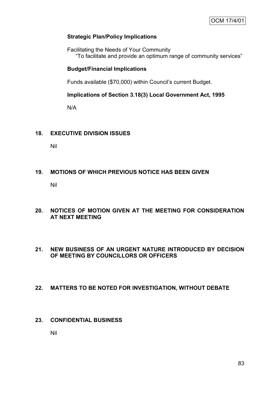### **Strategic Plan/Policy Implications**

Facilitating the Needs of Your Community "To facilitate and provide an optimum range of community services"

#### **Budget/Financial Implications**

Funds available (\$70,000) within Council's current Budget.

**Implications of Section 3.18(3) Local Government Act, 1995**

N/A

#### **18. EXECUTIVE DIVISION ISSUES**

Nil

#### **19. MOTIONS OF WHICH PREVIOUS NOTICE HAS BEEN GIVEN**

Nil

## **20. NOTICES OF MOTION GIVEN AT THE MEETING FOR CONSIDERATION AT NEXT MEETING**

## **21. NEW BUSINESS OF AN URGENT NATURE INTRODUCED BY DECISION OF MEETING BY COUNCILLORS OR OFFICERS**

#### **22. MATTERS TO BE NOTED FOR INVESTIGATION, WITHOUT DEBATE**

## **23. CONFIDENTIAL BUSINESS**

Nil